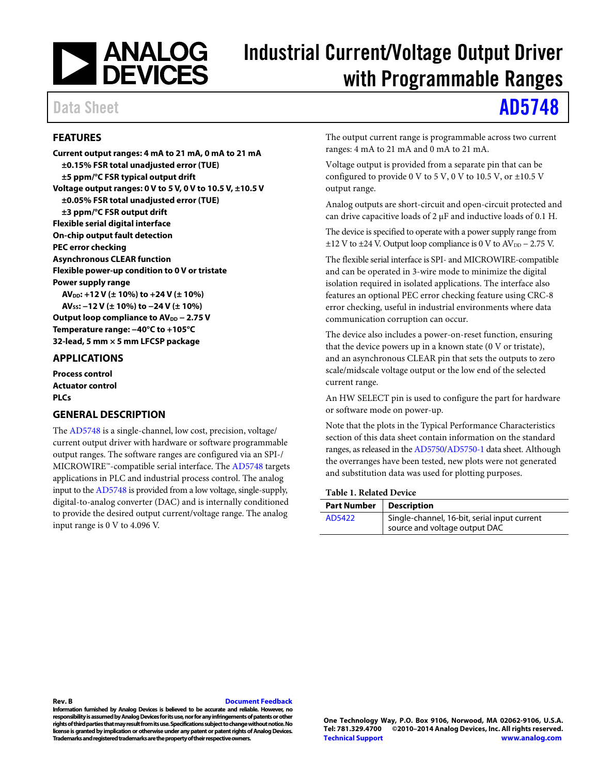

# Industrial Current/Voltage Output Driver with Programmable Ranges

# Data Sheet **[AD5748](http://www.analog.com/AD5748?doc=AD5748.pdf)**

### <span id="page-0-0"></span>**FEATURES**

**Current output ranges: 4 mA to 21 mA, 0 mA to 21 mA ±0.15% FSR total unadjusted error (TUE) ±5 ppm/°C FSR typical output drift Voltage output ranges: 0 V to 5 V, 0 V to 10.5 V, ±10.5 V ±0.05% FSR total unadjusted error (TUE) ±3 ppm/°C FSR output drift Flexible serial digital interface On-chip output fault detection PEC error checking Asynchronous CLEAR function Flexible power-up condition to 0 V or tristate Power supply range AVDD: +12 V (± 10%) to +24 V (± 10%) AVSS: −12 V (± 10%) to −24 V (± 10%)**  Output loop compliance to AV<sub>DD</sub> − 2.75 V **Temperature range: −40°C to +105°C 32-lead, 5 mm × 5 mm LFCSP package** 

#### <span id="page-0-1"></span>**APPLICATIONS**

**Process control Actuator control PLCs** 

#### <span id="page-0-2"></span>**GENERAL DESCRIPTION**

The [AD5748 i](http://www.analog.com/AD5748?doc=AD5748.pdf)s a single-channel, low cost, precision, voltage/ current output driver with hardware or software programmable output ranges. The software ranges are configured via an SPI-/ MICROWIRE™-compatible serial interface. Th[e AD5748](http://www.analog.com/AD5748?doc=AD5748.pdf) targets applications in PLC and industrial process control. The analog input to th[e AD5748 i](http://www.analog.com/AD5748?doc=AD5748.pdf)s provided from a low voltage, single-supply, digital-to-analog converter (DAC) and is internally conditioned to provide the desired output current/voltage range. The analog input range is 0 V to 4.096 V.

The output current range is programmable across two current ranges: 4 mA to 21 mA and 0 mA to 21 mA.

Voltage output is provided from a separate pin that can be configured to provide 0 V to 5 V, 0 V to 10.5 V, or  $\pm$ 10.5 V output range.

Analog outputs are short-circuit and open-circuit protected and can drive capacitive loads of 2 μF and inductive loads of 0.1 H.

The device is specified to operate with a power supply range from  $\pm$ 12 V to  $\pm$ 24 V. Output loop compliance is 0 V to AV<sub>DD</sub> – 2.75 V.

The flexible serial interface is SPI- and MICROWIRE-compatible and can be operated in 3-wire mode to minimize the digital isolation required in isolated applications. The interface also features an optional PEC error checking feature using CRC-8 error checking, useful in industrial environments where data communication corruption can occur.

The device also includes a power-on-reset function, ensuring that the device powers up in a known state (0 V or tristate), and an asynchronous CLEAR pin that sets the outputs to zero scale/midscale voltage output or the low end of the selected current range.

An HW SELECT pin is used to configure the part for hardware or software mode on power-up.

Note that the plots in the [Typical Performance Characteristics](#page-11-0)  section of this data sheet contain information on the standard ranges, as released in th[e AD5750](http://www.analog.com/AD5750?doc=AD5748.pdf)[/AD5750-1](http://www.analog.com/AD5750-1?doc=AD5748.pdf) data sheet. Although the overranges have been tested, new plots were not generated and substitution data was used for plotting purposes.

#### **Table 1. Related Device**

| <b>Part Number</b> | Description                                  |
|--------------------|----------------------------------------------|
| AD5422             | Single-channel, 16-bit, serial input current |
|                    | source and voltage output DAC                |

#### **Rev. B [Document Feedback](https://form.analog.com/Form_Pages/feedback/documentfeedback.aspx?doc=AD5748.pdf&product=AD5748&rev=B)**

**Information furnished by Analog Devices is believed to be accurate and reliable. However, no responsibility is assumed by Analog Devices for its use, nor for any infringements of patents or other rights of third parties that may result from its use. Specifications subject to change without notice. No license is granted by implication or otherwise under any patent or patent rights of Analog Devices. Trademarks and registered trademarks are the property of their respective owners.** 

**One Technology Way, P.O. Box 9106, Norwood, MA 02062-9106, U.S.A.** ©2010-2014 Analog Devices, Inc. All rights reserved. **[Technical Support](http://www.analog.com/en/content/technical_support_page/fca.html) [www.analog.com](http://www.analog.com/)**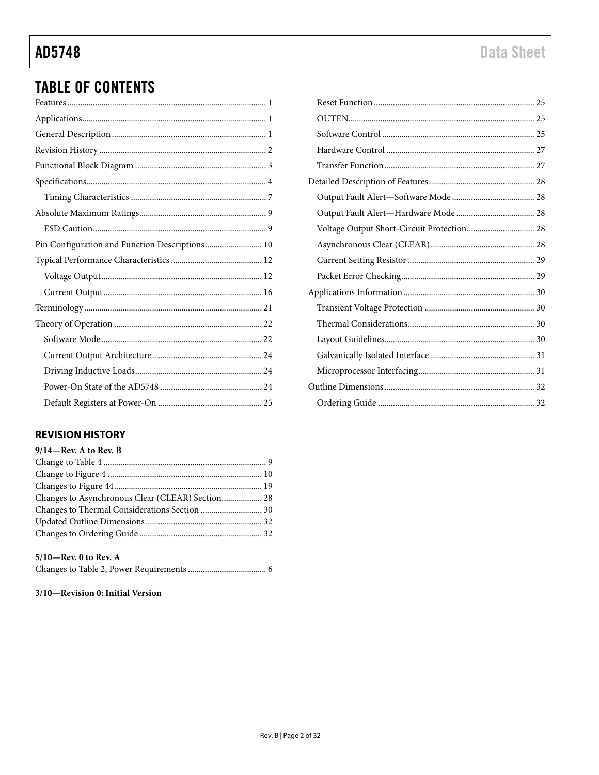# **TABLE OF CONTENTS**

| Pin Configuration and Function Descriptions 10 |
|------------------------------------------------|
|                                                |
|                                                |
|                                                |
|                                                |
|                                                |
|                                                |
|                                                |
|                                                |
|                                                |
|                                                |
|                                                |

### <span id="page-1-0"></span>**REVISION HISTORY**

| $9/14$ —Rev. A to Rev. B                         |  |
|--------------------------------------------------|--|
|                                                  |  |
|                                                  |  |
|                                                  |  |
| Changes to Asynchronous Clear (CLEAR) Section 28 |  |
|                                                  |  |
|                                                  |  |
|                                                  |  |
|                                                  |  |

#### $5/10$ —Rev. 0 to Rev. A

|--|--|--|--|

#### 3/10-Revision 0: Initial Version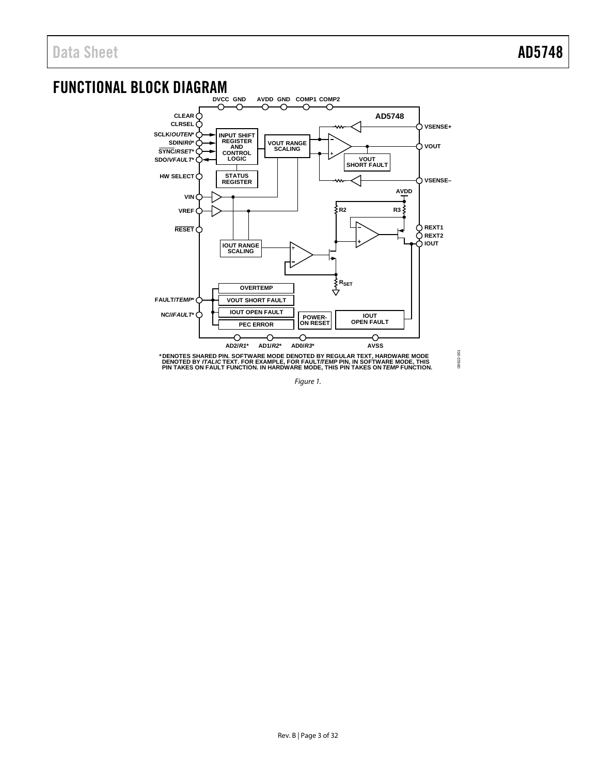08922-001

# <span id="page-2-0"></span>FUNCTIONAL BLOCK DIAGRAM



<span id="page-2-1"></span>\* DENOTES SHARED PIN. SOFTWARE MODE DENOTED BY REGULAR TEXT, HARDWARE MODE<br>DENOTED BY *ITALIC* TEXT. FOR EXAMPLE, FOR FAULT*ITEMP* PIN, IN SOFTWARE MODE, THIS<br>PIN TAKES ON FAULT FUNCTION. IN HARDWARE MODE, THIS PIN TAKES O

*Figure 1.*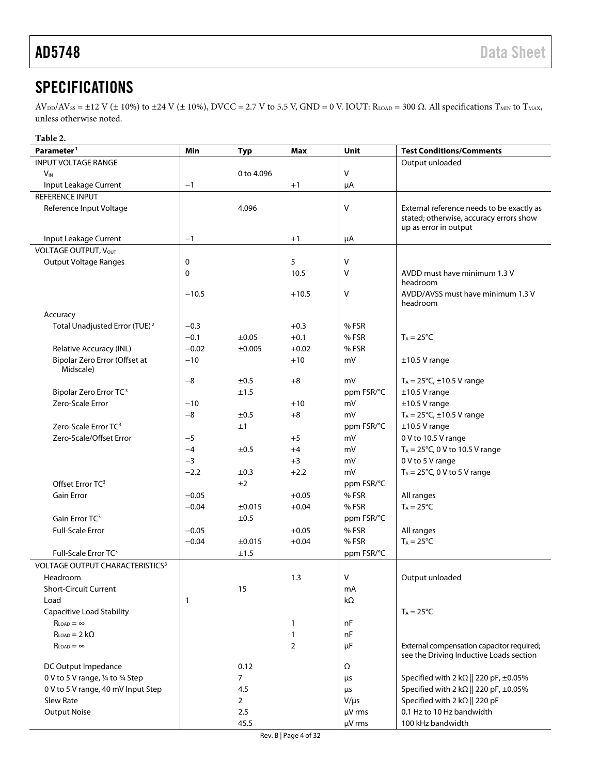# <span id="page-3-0"></span>**SPECIFICATIONS**

 $AV_{DD}/AV_{SS} = \pm 12$  V ( $\pm$  10%) to  $\pm 24$  V ( $\pm$  10%), DVCC = 2.7 V to 5.5 V, GND = 0 V. IOUT: R<sub>LOAD</sub> = 300  $\Omega$ . All specifications T<sub>MIN</sub> to T<sub>MAX</sub>, unless otherwise noted.

#### **Table 2.**

<span id="page-3-1"></span>

| Parameter <sup>1</sup>                     | Min         | <b>Typ</b>     | Max            | <b>Unit</b> | <b>Test Conditions/Comments</b>                                                      |
|--------------------------------------------|-------------|----------------|----------------|-------------|--------------------------------------------------------------------------------------|
| <b>INPUT VOLTAGE RANGE</b>                 |             |                |                |             | Output unloaded                                                                      |
| $V_{IN}$                                   |             | 0 to 4.096     |                | v           |                                                                                      |
| Input Leakage Current                      | $-1$        |                | $+1$           | μA          |                                                                                      |
| <b>REFERENCE INPUT</b>                     |             |                |                |             |                                                                                      |
| Reference Input Voltage                    |             | 4.096          |                | ٧           | External reference needs to be exactly as<br>stated; otherwise, accuracy errors show |
|                                            |             |                |                |             | up as error in output                                                                |
| Input Leakage Current                      | $-1$        |                | $+1$           | μA          |                                                                                      |
| VOLTAGE OUTPUT, VOUT                       |             |                |                |             |                                                                                      |
| <b>Output Voltage Ranges</b>               | $\mathbf 0$ |                | 5              | V           |                                                                                      |
|                                            | 0           |                | 10.5           | ٧           | AVDD must have minimum 1.3 V<br>headroom                                             |
|                                            | $-10.5$     |                | $+10.5$        | V           | AVDD/AVSS must have minimum 1.3 V<br>headroom                                        |
| Accuracy                                   |             |                |                |             |                                                                                      |
| Total Unadjusted Error (TUE) <sup>2</sup>  | $-0.3$      |                | $+0.3$         | %FSR        |                                                                                      |
|                                            | $-0.1$      | ±0.05          | $+0.1$         | %FSR        | $T_A = 25^{\circ}C$                                                                  |
| Relative Accuracy (INL)                    | $-0.02$     | ±0.005         | $+0.02$        | % FSR       |                                                                                      |
| Bipolar Zero Error (Offset at<br>Midscale) | $-10$       |                | $+10$          | mV          | $±10.5$ V range                                                                      |
|                                            | $-8$        | ±0.5           | $+8$           | mV          | $T_A = 25^{\circ}C, \pm 10.5 \text{ V}$ range                                        |
| Bipolar Zero Error TC <sup>3</sup>         |             | ±1.5           |                | ppm FSR/°C  | $±10.5$ V range                                                                      |
| Zero-Scale Error                           | $-10$       |                | $+10$          | mV          | $±10.5$ V range                                                                      |
|                                            | $-8$        | ±0.5           | $+8$           | mV          | $T_A = 25^{\circ}C, \pm 10.5 \text{ V}$ range                                        |
| Zero-Scale Error TC <sup>3</sup>           |             | ±1             |                | ppm FSR/°C  | $±10.5$ V range                                                                      |
| Zero-Scale/Offset Error                    | $-5$        |                | $+5$           | mV          | 0 V to 10.5 V range                                                                  |
|                                            | $-4$        | ±0.5           | $+4$           | mV          | $T_A = 25^{\circ}C$ , 0 V to 10.5 V range                                            |
|                                            | $-3$        |                | $+3$           | mV          | 0 V to 5 V range                                                                     |
|                                            | $-2.2$      | $\pm 0.3$      | $+2.2$         | mV          | $T_A = 25^{\circ}C$ , 0 V to 5 V range                                               |
| Offset Error TC <sup>3</sup>               |             | ±2             |                | ppm FSR/°C  |                                                                                      |
| <b>Gain Error</b>                          | $-0.05$     |                | $+0.05$        | %FSR        | All ranges                                                                           |
|                                            | $-0.04$     | ±0.015         | $+0.04$        | %FSR        | $T_A = 25^{\circ}C$                                                                  |
| Gain Error TC <sup>3</sup>                 |             | ±0.5           |                | ppm FSR/°C  |                                                                                      |
| <b>Full-Scale Error</b>                    | $-0.05$     |                | $+0.05$        | %FSR        | All ranges                                                                           |
|                                            | $-0.04$     | ±0.015         | $+0.04$        | %FSR        | $T_A = 25^{\circ}C$                                                                  |
| Full-Scale Error TC <sup>3</sup>           |             | ±1.5           |                | ppm FSR/°C  |                                                                                      |
| <b>VOLTAGE OUTPUT CHARACTERISTICS3</b>     |             |                |                |             |                                                                                      |
| Headroom                                   |             |                | 1.3            | ٧           | Output unloaded                                                                      |
| <b>Short-Circuit Current</b>               |             | 15             |                | mA          |                                                                                      |
| Load                                       | 1           |                |                | $k\Omega$   |                                                                                      |
| <b>Capacitive Load Stability</b>           |             |                |                |             | $T_A = 25^{\circ}C$                                                                  |
| $R_{LOAD} = \infty$                        |             |                | $\mathbf{1}$   | nF          |                                                                                      |
| $R_{IOP} = 2 k\Omega$                      |             |                | $\mathbf{1}$   | nF          |                                                                                      |
| $R_{IOMD} = \infty$                        |             |                | $\overline{2}$ | μF          | External compensation capacitor required;<br>see the Driving Inductive Loads section |
| DC Output Impedance                        |             | 0.12           |                | Ω           |                                                                                      |
| 0 V to 5 V range, 1/4 to 3/4 Step          |             | $\overline{7}$ |                | μs          | Specified with 2 k $\Omega$    220 pF, ±0.05%                                        |
| 0 V to 5 V range, 40 mV Input Step         |             | 4.5            |                | μs          | Specified with 2 k $\Omega$    220 pF, ±0.05%                                        |
| Slew Rate                                  |             | $\overline{2}$ |                | $V/\mu s$   | Specified with 2 k $\Omega$    220 pF                                                |
| <b>Output Noise</b>                        |             | 2.5            |                | µV rms      | 0.1 Hz to 10 Hz bandwidth                                                            |
|                                            |             | 45.5           |                | µV rms      | 100 kHz bandwidth                                                                    |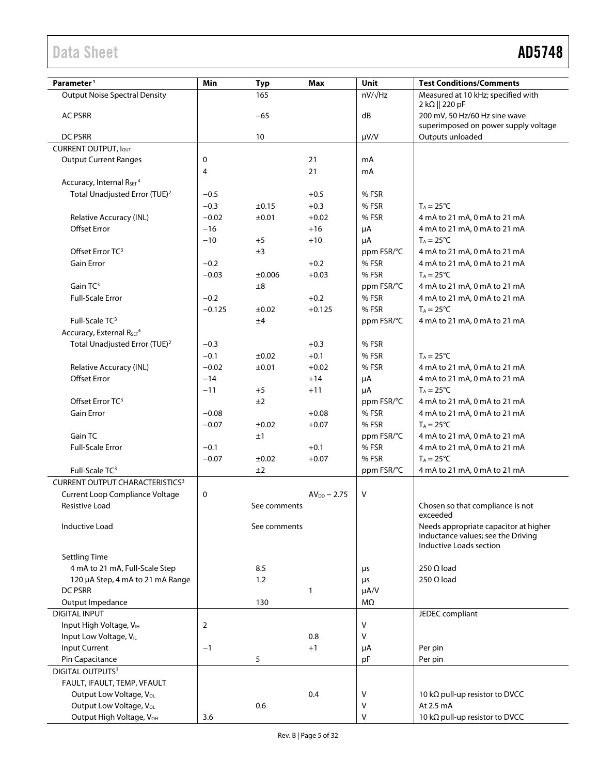| Parameter <sup>1</sup>                           | Min      | <b>Typ</b>   | Max              | Unit           | <b>Test Conditions/Comments</b>                 |
|--------------------------------------------------|----------|--------------|------------------|----------------|-------------------------------------------------|
| <b>Output Noise Spectral Density</b>             |          | 165          |                  | $nV/\sqrt{Hz}$ | Measured at 10 kHz; specified with              |
| <b>AC PSRR</b>                                   |          | $-65$        |                  | dB             | 2 kΩ    220 pF<br>200 mV, 50 Hz/60 Hz sine wave |
|                                                  |          |              |                  |                | superimposed on power supply voltage            |
| <b>DC PSRR</b>                                   |          | 10           |                  | $\mu V/V$      | Outputs unloaded                                |
| <b>CURRENT OUTPUT, IOUT</b>                      |          |              |                  |                |                                                 |
| <b>Output Current Ranges</b>                     | 0        |              | 21               | mA             |                                                 |
|                                                  | 4        |              | 21               | mA             |                                                 |
| Accuracy, Internal R <sub>SET</sub> <sup>4</sup> |          |              |                  |                |                                                 |
| Total Unadjusted Error (TUE) <sup>2</sup>        | $-0.5$   |              | $+0.5$           | % FSR          |                                                 |
|                                                  | $-0.3$   | $\pm 0.15$   | $+0.3$           | % FSR          | $T_A = 25^{\circ}C$                             |
| Relative Accuracy (INL)                          | $-0.02$  | ±0.01        | $+0.02$          | % FSR          | 4 mA to 21 mA, 0 mA to 21 mA                    |
| <b>Offset Error</b>                              | $-16$    |              | $+16$            | μA             | 4 mA to 21 mA, 0 mA to 21 mA                    |
|                                                  | $-10$    | $+5$         | $+10$            | μA             | $T_A = 25^{\circ}C$                             |
| Offset Error TC <sup>3</sup>                     |          | ±3           |                  | ppm FSR/°C     | 4 mA to 21 mA, 0 mA to 21 mA                    |
| Gain Error                                       | $-0.2$   |              | $+0.2$           | % FSR          | 4 mA to 21 mA, 0 mA to 21 mA                    |
|                                                  | $-0.03$  | ±0.006       | $+0.03$          | % FSR          | $T_A = 25^{\circ}C$                             |
| Gain $TC^3$                                      |          | $\pm 8$      |                  | ppm FSR/°C     | 4 mA to 21 mA, 0 mA to 21 mA                    |
| <b>Full-Scale Error</b>                          | $-0.2$   |              | $+0.2$           | % FSR          | 4 mA to 21 mA, 0 mA to 21 mA                    |
|                                                  | $-0.125$ | ±0.02        | $+0.125$         | % FSR          | $T_A = 25^{\circ}C$                             |
| Full-Scale TC <sup>3</sup>                       |          | ±4           |                  | ppm FSR/°C     | 4 mA to 21 mA, 0 mA to 21 mA                    |
| Accuracy, External R <sub>SET<sup>4</sup></sub>  |          |              |                  |                |                                                 |
| Total Unadjusted Error (TUE) <sup>2</sup>        | $-0.3$   |              | $+0.3$           | % FSR          |                                                 |
|                                                  | $-0.1$   | $\pm 0.02$   | $+0.1$           | % FSR          | $T_A = 25^{\circ}C$                             |
| Relative Accuracy (INL)                          | $-0.02$  | ±0.01        | $+0.02$          | % FSR          | 4 mA to 21 mA, 0 mA to 21 mA                    |
| <b>Offset Error</b>                              | $-14$    |              | $+14$            | μA             | 4 mA to 21 mA, 0 mA to 21 mA                    |
|                                                  | $-11$    | $+5$         | $+11$            | μA             | $T_A = 25^{\circ}C$                             |
| Offset Error TC <sup>3</sup>                     |          | ±2           |                  | ppm FSR/°C     | 4 mA to 21 mA, 0 mA to 21 mA                    |
| Gain Error                                       | $-0.08$  |              | $+0.08$          | % FSR          | 4 mA to 21 mA, 0 mA to 21 mA                    |
|                                                  | $-0.07$  | $\pm 0.02$   | $+0.07$          | % FSR          | $T_A = 25^{\circ}C$                             |
| Gain TC                                          |          | ±1           |                  | ppm FSR/°C     | 4 mA to 21 mA, 0 mA to 21 mA                    |
| <b>Full-Scale Error</b>                          | $-0.1$   |              | $+0.1$           | % FSR          | 4 mA to 21 mA, 0 mA to 21 mA                    |
|                                                  | $-0.07$  | ±0.02        | $+0.07$          | % FSR          | $T_A = 25^{\circ}C$                             |
| Full-Scale TC <sup>3</sup>                       |          | ±2           |                  | ppm FSR/°C     | 4 mA to 21 mA, 0 mA to 21 mA                    |
| <b>CURRENT OUTPUT CHARACTERISTICS3</b>           |          |              |                  |                |                                                 |
| Current Loop Compliance Voltage                  | 0        |              | $AV_{DD} - 2.75$ | $\vee$         |                                                 |
| Resistive Load                                   |          | See comments |                  |                | Chosen so that compliance is not<br>exceeded    |
| <b>Inductive Load</b>                            |          | See comments |                  |                | Needs appropriate capacitor at higher           |
|                                                  |          |              |                  |                | inductance values; see the Driving              |
|                                                  |          |              |                  |                | Inductive Loads section                         |
| <b>Settling Time</b>                             |          |              |                  |                |                                                 |
| 4 mA to 21 mA, Full-Scale Step                   |          | 8.5          |                  | μs             | 250 $\Omega$ load                               |
| 120 µA Step, 4 mA to 21 mA Range                 |          | 1.2          |                  | μs             | $250 \Omega$ load                               |
| DC PSRR                                          |          |              | $\mathbf{1}$     | $\mu A/V$      |                                                 |
| Output Impedance                                 |          | 130          |                  | MΩ             |                                                 |
| <b>DIGITAL INPUT</b>                             |          |              |                  |                | JEDEC compliant                                 |
| Input High Voltage, VIH                          | 2        |              |                  | $\vee$         |                                                 |
| Input Low Voltage, VL                            |          |              | 0.8              | V              |                                                 |
| Input Current                                    | $-1$     |              | $+1$             | μA             | Per pin                                         |
| Pin Capacitance                                  |          | 5            |                  | pF             | Per pin                                         |
| DIGITAL OUTPUTS <sup>3</sup>                     |          |              |                  |                |                                                 |
| FAULT, IFAULT, TEMP, VFAULT                      |          |              |                  |                |                                                 |
| Output Low Voltage, VoL                          |          |              | 0.4              | $\vee$         | 10 kΩ pull-up resistor to DVCC                  |
| Output Low Voltage, V <sub>OL</sub>              |          | 0.6          |                  | V              | At 2.5 mA                                       |
| Output High Voltage, VOH                         | 3.6      |              |                  | $\vee$         | 10 kΩ pull-up resistor to DVCC                  |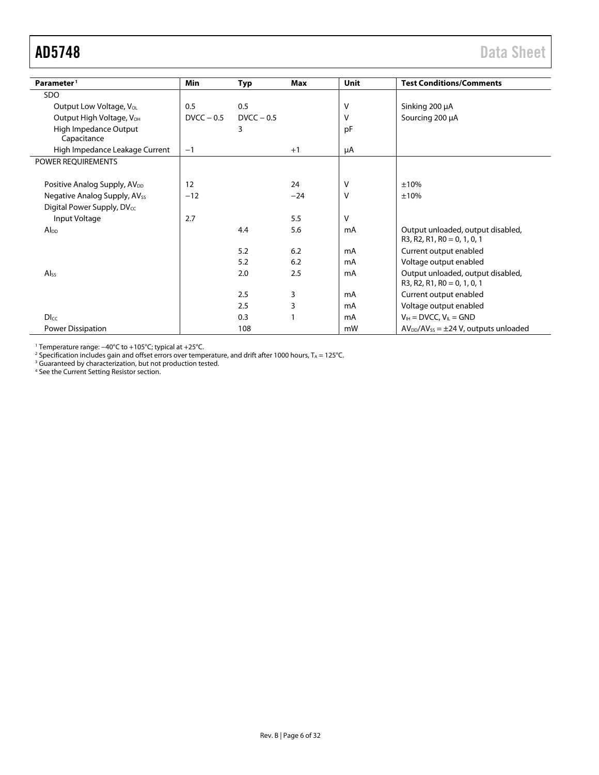<span id="page-5-0"></span>

| Parameter <sup>1</sup>                   | <b>Min</b>   | Typ          | Max   | Unit | <b>Test Conditions/Comments</b>                                    |
|------------------------------------------|--------------|--------------|-------|------|--------------------------------------------------------------------|
| SDO                                      |              |              |       |      |                                                                    |
| Output Low Voltage, V <sub>ol</sub>      | 0.5          | 0.5          |       | V    | Sinking 200 µA                                                     |
| Output High Voltage, V <sub>OH</sub>     | $DVCC - 0.5$ | $DVCC - 0.5$ |       | v    | Sourcing 200 µA                                                    |
| High Impedance Output<br>Capacitance     |              | 3            |       | pF   |                                                                    |
| High Impedance Leakage Current           | $-1$         |              | $+1$  | μA   |                                                                    |
| POWER REQUIREMENTS                       |              |              |       |      |                                                                    |
|                                          |              |              |       |      |                                                                    |
| Positive Analog Supply, AV <sub>DD</sub> | 12           |              | 24    | v    | ±10%                                                               |
| Negative Analog Supply, AV <sub>ss</sub> | $-12$        |              | $-24$ | V    | ±10%                                                               |
| Digital Power Supply, DVcc               |              |              |       |      |                                                                    |
| Input Voltage                            | 2.7          |              | 5.5   | V    |                                                                    |
| $Al_{DD}$                                |              | 4.4          | 5.6   | mA   | Output unloaded, output disabled,<br>$R3, R2, R1, R0 = 0, 1, 0, 1$ |
|                                          |              | 5.2          | 6.2   | mA   | Current output enabled                                             |
|                                          |              | 5.2          | 6.2   | mA   | Voltage output enabled                                             |
| Al <sub>ss</sub>                         |              | 2.0          | 2.5   | mA   | Output unloaded, output disabled,<br>$R3, R2, R1, R0 = 0, 1, 0, 1$ |
|                                          |              | 2.5          | 3     | mA   | Current output enabled                                             |
|                                          |              | 2.5          | 3     | mA   | Voltage output enabled                                             |
| <b>DIcc</b>                              |              | 0.3          |       | mA   | $V_{IH}$ = DVCC, $V_{IL}$ = GND                                    |
| Power Dissipation                        |              | 108          |       | mW   | $AV_{DD}/AV_{SS} = \pm 24 V$ , outputs unloaded                    |

<sup>1</sup> Temperature range: −40°C to +105°C; typical at +25°C.

 $^2$  Specification includes gain and offset errors over temperature, and drift after 1000 hours, T $_{\rm A}$  = 125°C.

<sup>3</sup> Guaranteed by characterization, but not production tested.

<sup>4</sup> See th[e Current Setting Resistor](#page-28-0) section.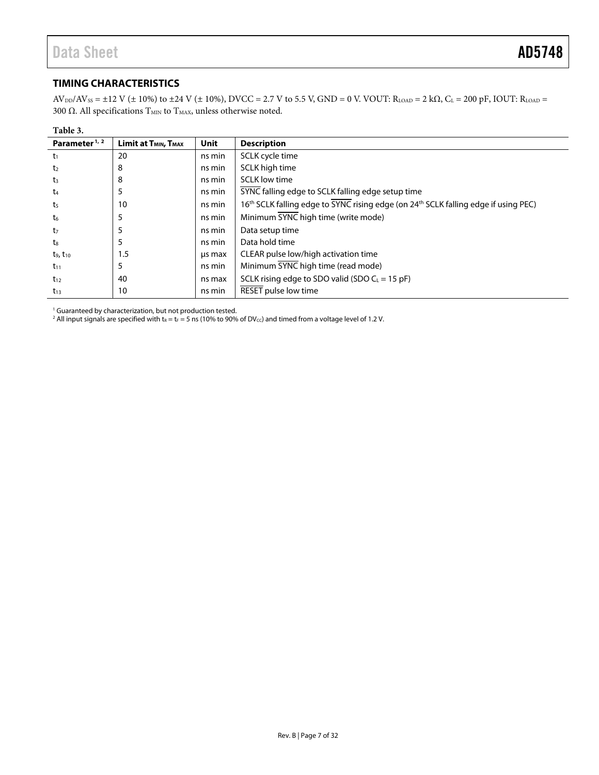#### <span id="page-6-0"></span>**TIMING CHARACTERISTICS**

 $AV_{DD}/AV_{SS} = \pm 12 \text{ V } (\pm 10\%)$  to  $\pm 24 \text{ V } (\pm 10\%)$ , DVCC = 2.7 V to 5.5 V, GND = 0 V. VOUT: R<sub>LOAD</sub> = 2 k $\Omega$ , C<sub>L</sub> = 200 pF, IOUT: R<sub>LOAD</sub> = 300 Ω. All specifications  $T<sub>MIN</sub>$  to  $T<sub>MAX</sub>$ , unless otherwise noted.

| Table 3.                  |                                              |        |                                                                                     |
|---------------------------|----------------------------------------------|--------|-------------------------------------------------------------------------------------|
| Parameter <sup>1, 2</sup> | Limit at T <sub>MIN</sub> , T <sub>MAX</sub> | Unit   | <b>Description</b>                                                                  |
| $t_1$                     | 20                                           | ns min | SCLK cycle time                                                                     |
| t <sub>2</sub>            | 8                                            | ns min | SCLK high time                                                                      |
| $t_3$                     | 8                                            | ns min | <b>SCLK</b> low time                                                                |
| t4                        | 5                                            | ns min | SYNC falling edge to SCLK falling edge setup time                                   |
| t5                        | 10                                           | ns min | 16th SCLK falling edge to SYNC rising edge (on 24th SCLK falling edge if using PEC) |
| t6                        | 5                                            | ns min | Minimum SYNC high time (write mode)                                                 |
| t <sub>7</sub>            | 5                                            | ns min | Data setup time                                                                     |
| t.                        | 5                                            | ns min | Data hold time                                                                      |
| $t_9, t_{10}$             | 1.5                                          | us max | CLEAR pulse low/high activation time                                                |
| $t_{11}$                  | 5                                            | ns min | Minimum SYNC high time (read mode)                                                  |
| $t_{12}$                  | 40                                           | ns max | SCLK rising edge to SDO valid (SDO $C_L = 15$ pF)                                   |
| $t_{13}$                  | 10                                           | ns min | RESET pulse low time                                                                |

<sup>1</sup> Guaranteed by characterization, but not production tested.

 $^2$  All input signals are specified with t $_{\rm R}$  = t $_{\rm F}$  = 5 ns (10% to 90% of DV $_{\rm cc}$ ) and timed from a voltage level of 1.2 V.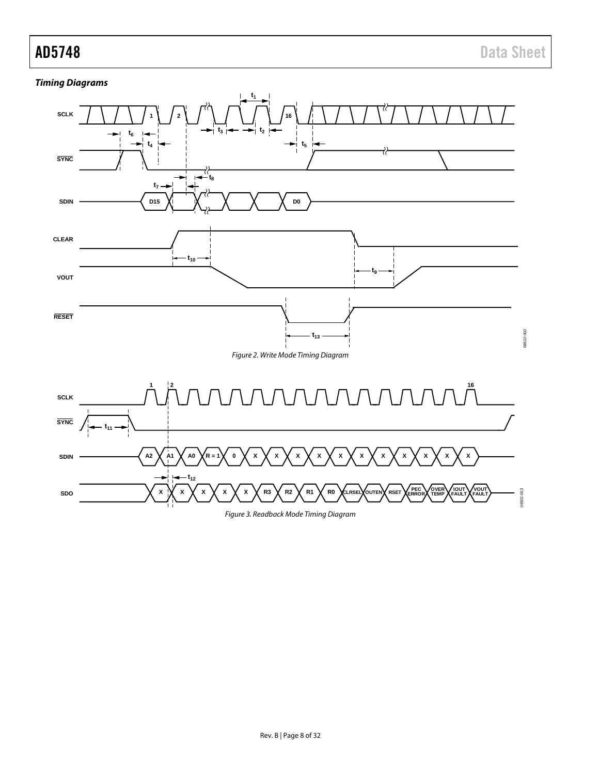### **Timing Diagrams**



<span id="page-7-0"></span>Figure 3. Readback Mode Timing Diagram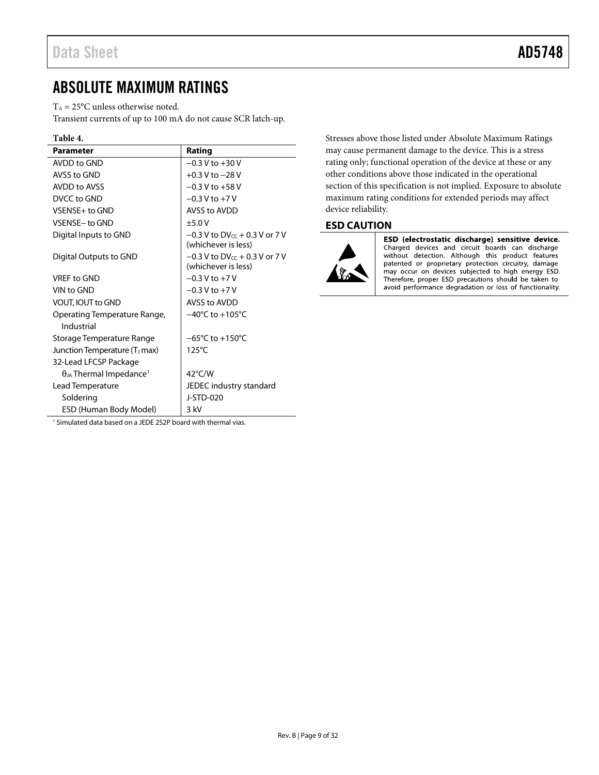# <span id="page-8-0"></span>ABSOLUTE MAXIMUM RATINGS

 $T_A = 25$ °C unless otherwise noted.

Transient currents of up to 100 mA do not cause SCR latch-up.

| <b>Parameter</b>                             | Rating                                                    |
|----------------------------------------------|-----------------------------------------------------------|
| AVDD to GND                                  | $-0.3 V$ to $+30 V$                                       |
| AVSS to GND                                  | $+0.3$ V to $-28$ V                                       |
| AVDD to AVSS                                 | $-0.3$ V to $+58$ V                                       |
| DVCC to GND                                  | $-0.3 V$ to $+7 V$                                        |
| VSENSE+ to GND                               | AVSS to AVDD                                              |
| VSENSE-to GND                                | $+5.0V$                                                   |
| Digital Inputs to GND                        | $-0.3$ V to DV $cc + 0.3$ V or 7 V<br>(whichever is less) |
| Digital Outputs to GND                       | $-0.3$ V to DV $cc + 0.3$ V or 7 V<br>(whichever is less) |
| VRFF to GND                                  | $-0.3$ V to $+7$ V                                        |
| VIN to GND                                   | $-0.3$ V to $+7$ V                                        |
| VOUT, IOUT to GND                            | AVSS to AVDD                                              |
| Operating Temperature Range,<br>Industrial   | $-40^{\circ}$ C to $+105^{\circ}$ C                       |
| Storage Temperature Range                    | $-65^{\circ}$ C to $+150^{\circ}$ C                       |
| Junction Temperature (T <sub>J</sub> max)    | $125^{\circ}$ C                                           |
| 32-Lead LFCSP Package                        |                                                           |
| $\theta_{JA}$ Thermal Impedance <sup>1</sup> | $42^{\circ}$ C/W                                          |
| Lead Temperature                             | JEDEC industry standard                                   |
| Soldering                                    | J-STD-020                                                 |
| ESD (Human Body Model)                       | 3 kV                                                      |

Stresses above those listed under Absolute Maximum Ratings may cause permanent damage to the device. This is a stress rating only; functional operation of the device at these or any other conditions above those indicated in the operational section of this specification is not implied. Exposure to absolute maximum rating conditions for extended periods may affect device reliability.

#### <span id="page-8-1"></span>**ESD CAUTION**



ESD (electrostatic discharge) sensitive device. Charged devices and circuit boards can discharge without detection. Although this product features patented or proprietary protection circuitry, damage may occur on devices subjected to high energy ESD. Therefore, proper ESD precautions should be taken to avoid performance degradation or loss of functionality.

<sup>1</sup> Simulated data based on a JEDE 2S2P board with thermal vias.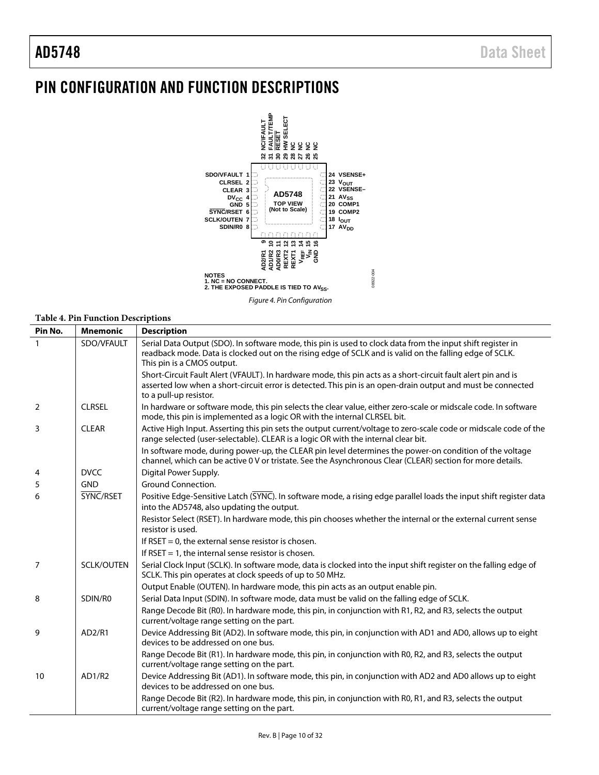# <span id="page-9-0"></span>PIN CONFIGURATION AND FUNCTION DESCRIPTIONS



Figure 4. Pin Configuration

#### **Table 4. Pin Function Descriptions**

| Pin No.        | <b>Mnemonic</b>   | <b>Description</b>                                                                                                                                                                                                                                     |
|----------------|-------------------|--------------------------------------------------------------------------------------------------------------------------------------------------------------------------------------------------------------------------------------------------------|
| $\mathbf{1}$   | SDO/VFAULT        | Serial Data Output (SDO). In software mode, this pin is used to clock data from the input shift register in<br>readback mode. Data is clocked out on the rising edge of SCLK and is valid on the falling edge of SCLK.<br>This pin is a CMOS output.   |
|                |                   | Short-Circuit Fault Alert (VFAULT). In hardware mode, this pin acts as a short-circuit fault alert pin and is<br>asserted low when a short-circuit error is detected. This pin is an open-drain output and must be connected<br>to a pull-up resistor. |
| $\overline{2}$ | <b>CLRSEL</b>     | In hardware or software mode, this pin selects the clear value, either zero-scale or midscale code. In software<br>mode, this pin is implemented as a logic OR with the internal CLRSEL bit.                                                           |
| 3              | <b>CLEAR</b>      | Active High Input. Asserting this pin sets the output current/voltage to zero-scale code or midscale code of the<br>range selected (user-selectable). CLEAR is a logic OR with the internal clear bit.                                                 |
|                |                   | In software mode, during power-up, the CLEAR pin level determines the power-on condition of the voltage<br>channel, which can be active 0 V or tristate. See the Asynchronous Clear (CLEAR) section for more details.                                  |
| 4              | <b>DVCC</b>       | Digital Power Supply.                                                                                                                                                                                                                                  |
| 5              | <b>GND</b>        | Ground Connection.                                                                                                                                                                                                                                     |
| 6              | SYNC/RSET         | Positive Edge-Sensitive Latch (SYNC). In software mode, a rising edge parallel loads the input shift register data<br>into the AD5748, also updating the output.                                                                                       |
|                |                   | Resistor Select (RSET). In hardware mode, this pin chooses whether the internal or the external current sense<br>resistor is used.                                                                                                                     |
|                |                   | If RSET = 0, the external sense resistor is chosen.                                                                                                                                                                                                    |
|                |                   | If RSET = 1, the internal sense resistor is chosen.                                                                                                                                                                                                    |
| 7              | <b>SCLK/OUTEN</b> | Serial Clock Input (SCLK). In software mode, data is clocked into the input shift register on the falling edge of<br>SCLK. This pin operates at clock speeds of up to 50 MHz.                                                                          |
|                |                   | Output Enable (OUTEN). In hardware mode, this pin acts as an output enable pin.                                                                                                                                                                        |
| 8              | SDIN/R0           | Serial Data Input (SDIN). In software mode, data must be valid on the falling edge of SCLK.                                                                                                                                                            |
|                |                   | Range Decode Bit (R0). In hardware mode, this pin, in conjunction with R1, R2, and R3, selects the output<br>current/voltage range setting on the part.                                                                                                |
| 9              | AD2/R1            | Device Addressing Bit (AD2). In software mode, this pin, in conjunction with AD1 and AD0, allows up to eight<br>devices to be addressed on one bus.                                                                                                    |
|                |                   | Range Decode Bit (R1). In hardware mode, this pin, in conjunction with R0, R2, and R3, selects the output<br>current/voltage range setting on the part.                                                                                                |
| 10             | AD1/R2            | Device Addressing Bit (AD1). In software mode, this pin, in conjunction with AD2 and AD0 allows up to eight<br>devices to be addressed on one bus.                                                                                                     |
|                |                   | Range Decode Bit (R2). In hardware mode, this pin, in conjunction with R0, R1, and R3, selects the output<br>current/voltage range setting on the part.                                                                                                |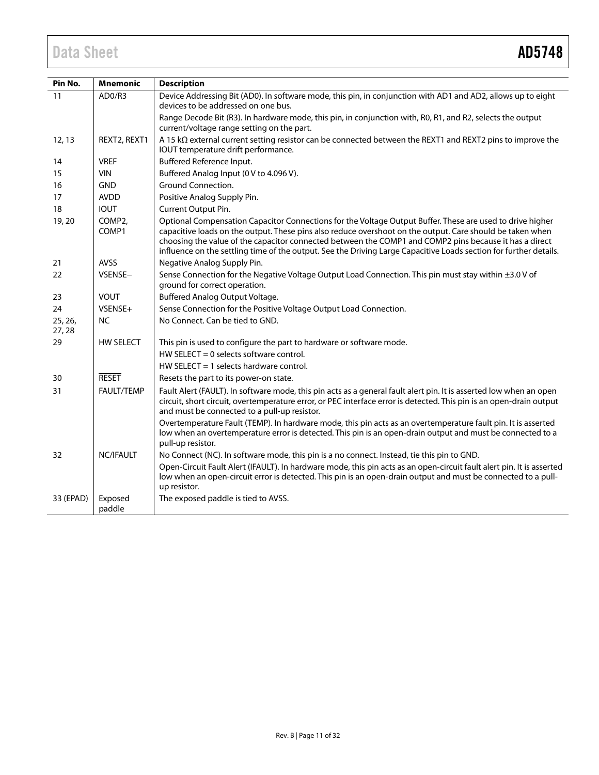| Pin No.          | <b>Mnemonic</b>              | <b>Description</b>                                                                                                                                                                                                                                                                                                                                                                                                                                    |
|------------------|------------------------------|-------------------------------------------------------------------------------------------------------------------------------------------------------------------------------------------------------------------------------------------------------------------------------------------------------------------------------------------------------------------------------------------------------------------------------------------------------|
| 11               | AD0/R3                       | Device Addressing Bit (AD0). In software mode, this pin, in conjunction with AD1 and AD2, allows up to eight<br>devices to be addressed on one bus.                                                                                                                                                                                                                                                                                                   |
|                  |                              | Range Decode Bit (R3). In hardware mode, this pin, in conjunction with, R0, R1, and R2, selects the output<br>current/voltage range setting on the part.                                                                                                                                                                                                                                                                                              |
| 12, 13           | REXT2, REXT1                 | A 15 kΩ external current setting resistor can be connected between the REXT1 and REXT2 pins to improve the<br>IOUT temperature drift performance.                                                                                                                                                                                                                                                                                                     |
| 14               | <b>VREF</b>                  | Buffered Reference Input.                                                                                                                                                                                                                                                                                                                                                                                                                             |
| 15               | VIN                          | Buffered Analog Input (0 V to 4.096 V).                                                                                                                                                                                                                                                                                                                                                                                                               |
| 16               | <b>GND</b>                   | Ground Connection.                                                                                                                                                                                                                                                                                                                                                                                                                                    |
| 17               | <b>AVDD</b>                  | Positive Analog Supply Pin.                                                                                                                                                                                                                                                                                                                                                                                                                           |
| 18               | <b>IOUT</b>                  | Current Output Pin.                                                                                                                                                                                                                                                                                                                                                                                                                                   |
| 19, 20           | COMP <sub>2</sub> ,<br>COMP1 | Optional Compensation Capacitor Connections for the Voltage Output Buffer. These are used to drive higher<br>capacitive loads on the output. These pins also reduce overshoot on the output. Care should be taken when<br>choosing the value of the capacitor connected between the COMP1 and COMP2 pins because it has a direct<br>influence on the settling time of the output. See the Driving Large Capacitive Loads section for further details. |
| 21               | <b>AVSS</b>                  | Negative Analog Supply Pin.                                                                                                                                                                                                                                                                                                                                                                                                                           |
| 22               | VSENSE-                      | Sense Connection for the Negative Voltage Output Load Connection. This pin must stay within ±3.0 V of<br>ground for correct operation.                                                                                                                                                                                                                                                                                                                |
| 23               | <b>VOUT</b>                  | Buffered Analog Output Voltage.                                                                                                                                                                                                                                                                                                                                                                                                                       |
| 24               | VSENSE+                      | Sense Connection for the Positive Voltage Output Load Connection.                                                                                                                                                                                                                                                                                                                                                                                     |
| 25, 26,<br>27,28 | <b>NC</b>                    | No Connect. Can be tied to GND.                                                                                                                                                                                                                                                                                                                                                                                                                       |
| 29               | <b>HW SELECT</b>             | This pin is used to configure the part to hardware or software mode.                                                                                                                                                                                                                                                                                                                                                                                  |
|                  |                              | HW SELECT = 0 selects software control.                                                                                                                                                                                                                                                                                                                                                                                                               |
|                  |                              | HW SELECT = 1 selects hardware control.                                                                                                                                                                                                                                                                                                                                                                                                               |
| 30               | <b>RESET</b>                 | Resets the part to its power-on state.                                                                                                                                                                                                                                                                                                                                                                                                                |
| 31               | FAULT/TEMP                   | Fault Alert (FAULT). In software mode, this pin acts as a general fault alert pin. It is asserted low when an open<br>circuit, short circuit, overtemperature error, or PEC interface error is detected. This pin is an open-drain output<br>and must be connected to a pull-up resistor.                                                                                                                                                             |
|                  |                              | Overtemperature Fault (TEMP). In hardware mode, this pin acts as an overtemperature fault pin. It is asserted<br>low when an overtemperature error is detected. This pin is an open-drain output and must be connected to a<br>pull-up resistor.                                                                                                                                                                                                      |
| 32               | NC/IFAULT                    | No Connect (NC). In software mode, this pin is a no connect. Instead, tie this pin to GND.                                                                                                                                                                                                                                                                                                                                                            |
|                  |                              | Open-Circuit Fault Alert (IFAULT). In hardware mode, this pin acts as an open-circuit fault alert pin. It is asserted<br>low when an open-circuit error is detected. This pin is an open-drain output and must be connected to a pull-<br>up resistor.                                                                                                                                                                                                |
| 33 (EPAD)        | Exposed<br>paddle            | The exposed paddle is tied to AVSS.                                                                                                                                                                                                                                                                                                                                                                                                                   |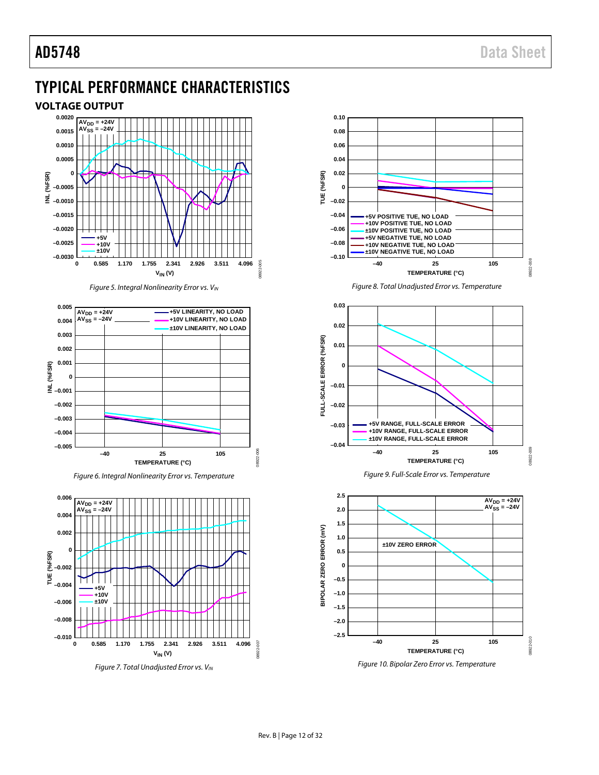# <span id="page-11-0"></span>TYPICAL PERFORMANCE CHARACTERISTICS

#### <span id="page-11-1"></span>**VOLTAGE OUTPUT**



*Figure 5. Integral Nonlinearity Error vs. VIN*

<span id="page-11-2"></span>

*Figure 6. Integral Nonlinearity Error vs. Temperature*



*Figure 7. Total Unadjusted Error vs. VIN*





<span id="page-11-3"></span>*Figure 10. Bipolar Zero Error vs. Temperature*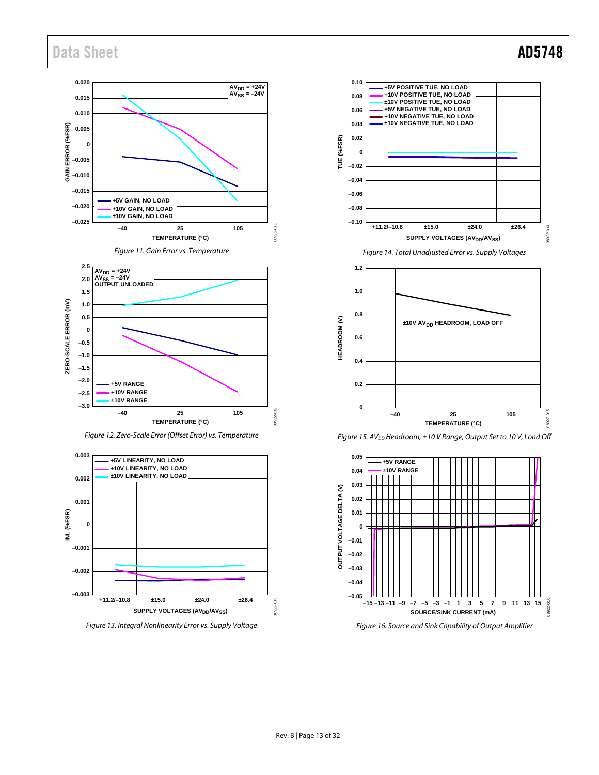

<span id="page-12-0"></span>

*Figure 12. Zero-Scale Error (Offset Error) vs. Temperature*



*Figure 13. Integral Nonlinearity Error vs. Supply Voltage*



**TEMPERATURE (°C)** *Figure 15. AVDD Headroom, ±10 V Range, Output Set to 10 V, Load Off*

**–40 25 105**



<span id="page-12-1"></span>*Figure 16. Source and Sink Capability of Output Amplifier*

08922-015

8922-

 $15$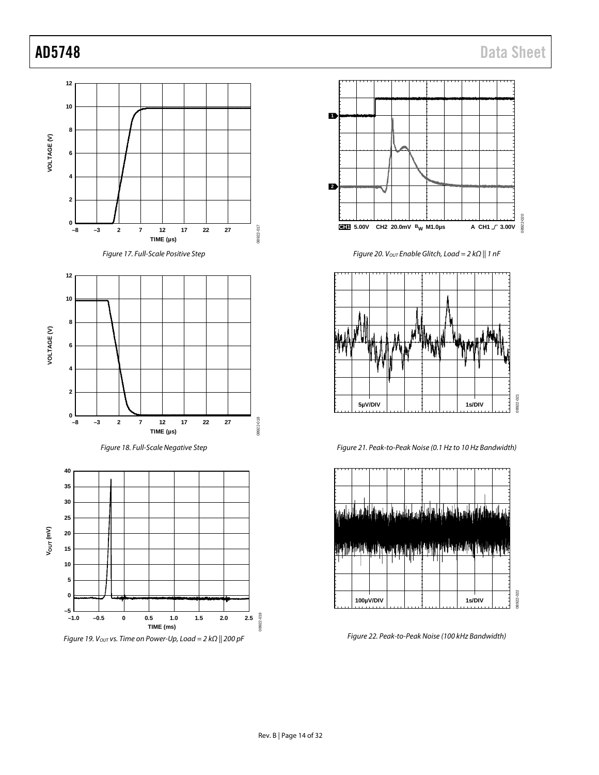



Figure 20. V<sub>OUT</sub> Enable Glitch, Load = 2 k $\Omega$  || 1 nF



Figure 21. Peak-to-Peak Noise (0.1 Hz to 10 Hz Bandwidth)



Figure 22. Peak-to-Peak Noise (100 kHz Bandwidth)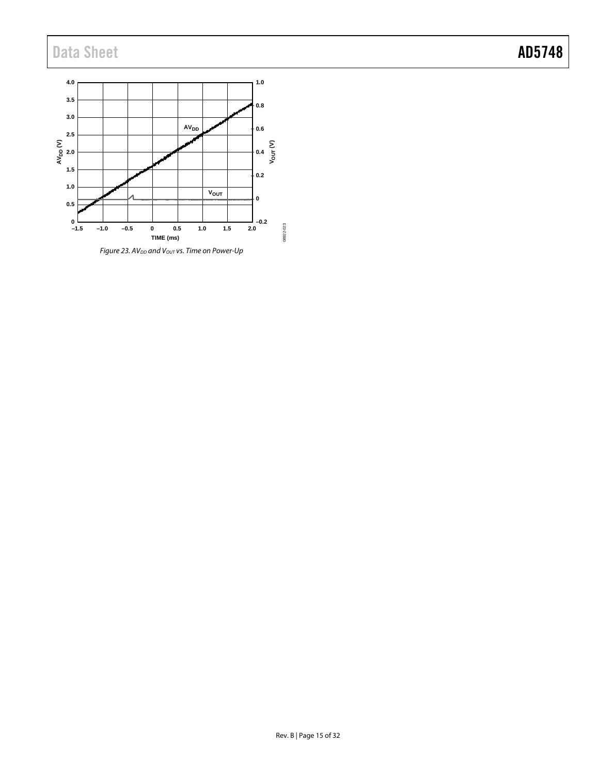

 $F$ *igure 23. AV*<sub>DD</sub> and V<sub>OUT</sub> vs. Time on Power-Up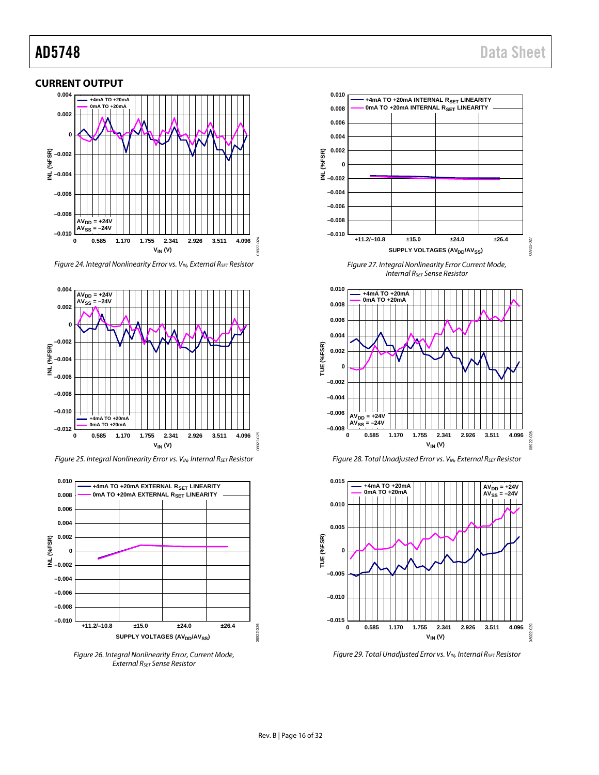#### <span id="page-15-0"></span>**CURRENT OUTPUT**



*Figure 24. Integral Nonlinearity Error vs. VIN, External RSET Resistor*



*Figure 25. Integral Nonlinearity Error vs. V<sub>IN</sub>, Internal R<sub>SET</sub> Resistor* 



*Figure 26. Integral Nonlinearity Error, Current Mode, External RSET Sense Resistor*



*Figure 27. Integral Nonlinearity Error Current Mode, Internal RSET Sense Resistor*







*Figure 29. Total Unadjusted Error vs. VIN, Internal RSET Resistor*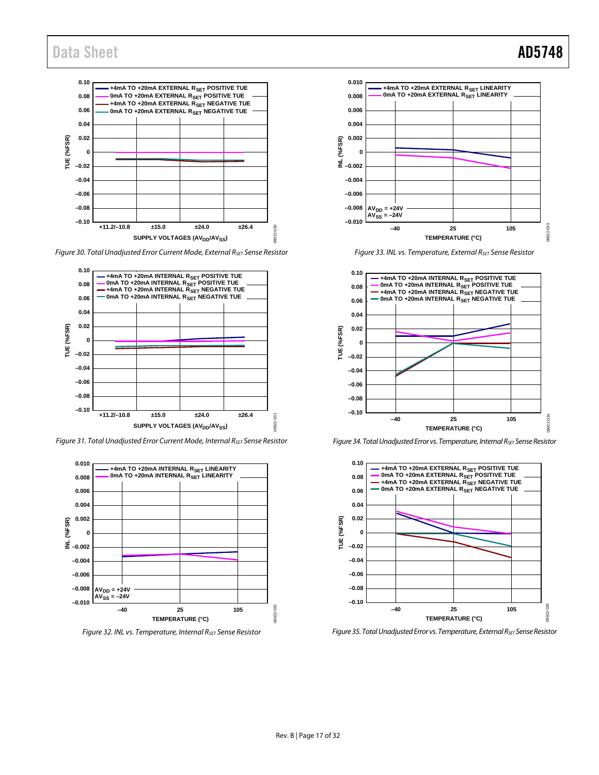

*Figure 30. Total Unadjusted Error Current Mode, External RSET Sense Resistor*



*Figure 31. Total Unadjusted Error Current Mode, Internal RSET Sense Resistor*



*Figure 32. INL vs. Temperature, Internal RSET Sense Resistor*



*Figure 33. INL vs. Temperature, External RSET Sense Resistor*



*Figure 34. Total Unadjusted Error vs. Temperature, Internal RSET Sense Resistor*



*Figure 35. Total Unadjusted Error vs. Temperature, External RSET Sense Resistor*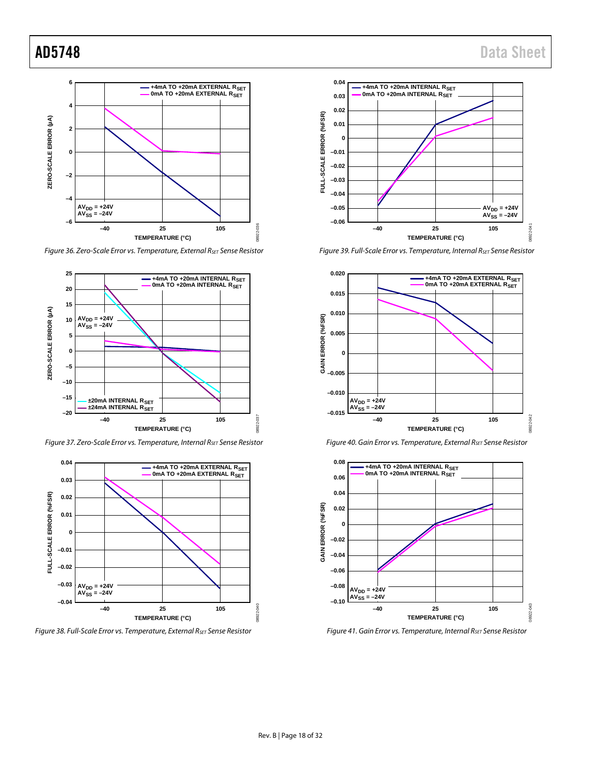

*Figure 36. Zero-Scale Error vs. Temperature, External RSET Sense Resistor*



*Figure 37. Zero-Scale Error vs. Temperature, Internal RSET Sense Resistor*



*Figure 38. Full-Scale Error vs. Temperature, External RSET Sense Resistor*



*Figure 39. Full-Scale Error vs. Temperature, Internal RSET Sense Resistor*







*Figure 41. Gain Error vs. Temperature, Internal RSET Sense Resistor*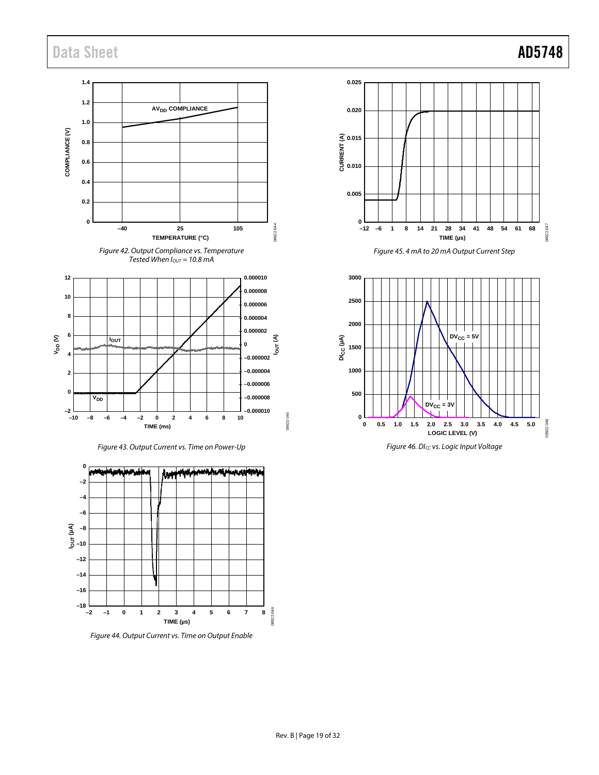08922-047

08922-047

08922-048

08922-048



m.  $\blacktriangleright$ mmh أابأهم ww **Int –2 –4 –6 –10 IOUT (µA) –8 –12 –14 –16 –18** 8922-046 08922-046 **–2 –1 0 1 2 3 4 5 6 7 8 TIME (µs)**

*Figure 44. Output Current vs. Time on Output Enable*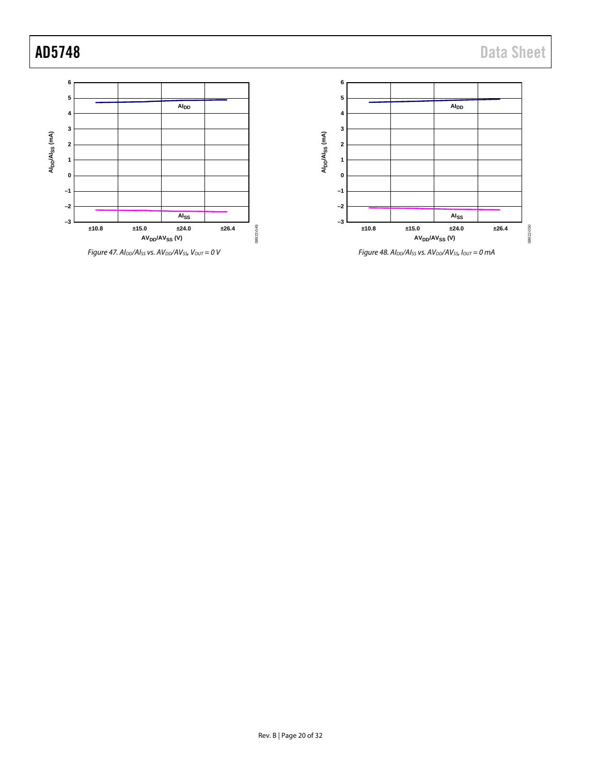



*Figure 48. AIDD/AISS vs. AVDD/AVSS, IOUT = 0 mA*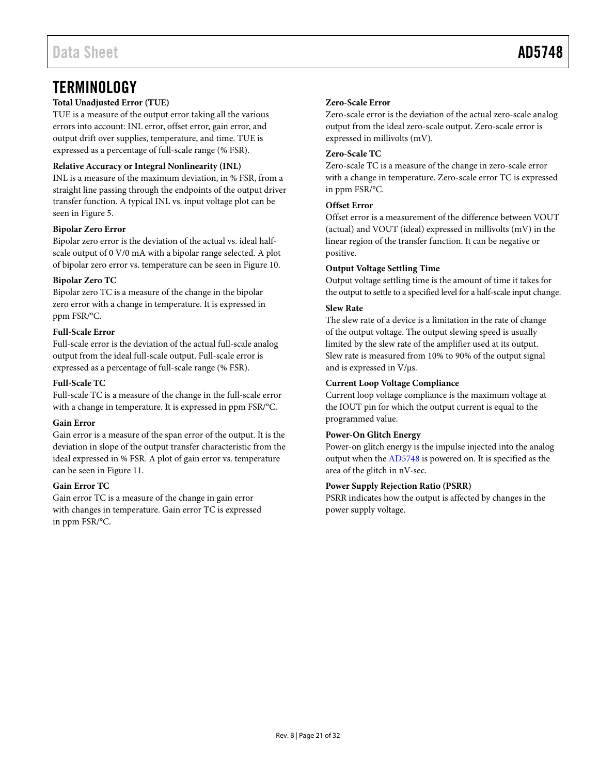## <span id="page-20-0"></span>**TERMINOLOGY**

#### **Total Unadjusted Error (TUE)**

TUE is a measure of the output error taking all the various errors into account: INL error, offset error, gain error, and output drift over supplies, temperature, and time. TUE is expressed as a percentage of full-scale range (% FSR).

#### **Relative Accuracy or Integral Nonlinearity (INL)**

INL is a measure of the maximum deviation, in % FSR, from a straight line passing through the endpoints of the output driver transfer function. A typical INL vs. input voltage plot can be seen in [Figure 5.](#page-11-2)

#### **Bipolar Zero Error**

Bipolar zero error is the deviation of the actual vs. ideal halfscale output of 0 V/0 mA with a bipolar range selected. A plot of bipolar zero error vs. temperature can be seen in [Figure 10.](#page-11-3) 

#### **Bipolar Zero TC**

Bipolar zero TC is a measure of the change in the bipolar zero error with a change in temperature. It is expressed in ppm FSR/°C.

#### **Full-Scale Error**

Full-scale error is the deviation of the actual full-scale analog output from the ideal full-scale output. Full-scale error is expressed as a percentage of full-scale range (% FSR).

#### **Full-Scale TC**

Full-scale TC is a measure of the change in the full-scale error with a change in temperature. It is expressed in ppm FSR/°C.

#### **Gain Error**

Gain error is a measure of the span error of the output. It is the deviation in slope of the output transfer characteristic from the ideal expressed in % FSR. A plot of gain error vs. temperature can be seen i[n Figure 11.](#page-12-0)

#### **Gain Error TC**

Gain error TC is a measure of the change in gain error with changes in temperature. Gain error TC is expressed in ppm FSR/°C.

#### **Zero-Scale Error**

Zero-scale error is the deviation of the actual zero-scale analog output from the ideal zero-scale output. Zero-scale error is expressed in millivolts (mV).

#### **Zero-Scale TC**

Zero-scale TC is a measure of the change in zero-scale error with a change in temperature. Zero-scale error TC is expressed in ppm FSR/°C.

#### **Offset Error**

Offset error is a measurement of the difference between VOUT (actual) and VOUT (ideal) expressed in millivolts (mV) in the linear region of the transfer function. It can be negative or positive.

#### **Output Voltage Settling Time**

Output voltage settling time is the amount of time it takes for the output to settle to a specified level for a half-scale input change.

#### **Slew Rate**

The slew rate of a device is a limitation in the rate of change of the output voltage. The output slewing speed is usually limited by the slew rate of the amplifier used at its output. Slew rate is measured from 10% to 90% of the output signal and is expressed in V/μs.

#### **Current Loop Voltage Compliance**

Current loop voltage compliance is the maximum voltage at the IOUT pin for which the output current is equal to the programmed value.

#### **Power-On Glitch Energy**

Power-on glitch energy is the impulse injected into the analog output when th[e AD5748](http://www.analog.com/AD5748?doc=AD5748.pdf) is powered on. It is specified as the area of the glitch in nV-sec.

#### **Power Supply Rejection Ratio (PSRR)**

PSRR indicates how the output is affected by changes in the power supply voltage.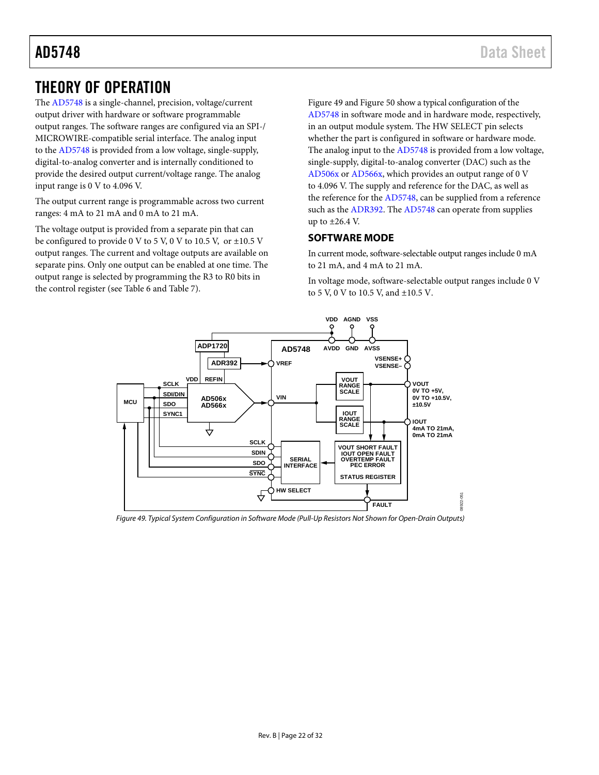# <span id="page-21-0"></span>THEORY OF OPERATION

The [AD5748 i](http://www.analog.com/AD5748?doc=AD5748.pdf)s a single-channel, precision, voltage/current output driver with hardware or software programmable output ranges. The software ranges are configured via an SPI-/ MICROWIRE-compatible serial interface. The analog input to the [AD5748 i](http://www.analog.com/AD5748?doc=AD5748.pdf)s provided from a low voltage, single-supply, digital-to-analog converter and is internally conditioned to provide the desired output current/voltage range. The analog input range is 0 V to 4.096 V.

The output current range is programmable across two current ranges: 4 mA to 21 mA and 0 mA to 21 mA.

The voltage output is provided from a separate pin that can be configured to provide 0 V to 5 V, 0 V to 10.5 V, or ±10.5 V output ranges. The current and voltage outputs are available on separate pins. Only one output can be enabled at one time. The output range is selected by programming the R3 to R0 bits in the control register (see [Table 6](#page-24-4) and [Table 7\)](#page-24-5).

[Figure 49 a](#page-21-2)n[d Figure 50 s](#page-22-0)how a typical configuration of the [AD5748 i](http://www.analog.com/AD5748?doc=AD5748.pdf)n software mode and in hardware mode, respectively, in an output module system. The HW SELECT pin selects whether the part is configured in software or hardware mode. The analog input to the [AD5748 i](http://www.analog.com/AD5748?doc=AD5748.pdf)s provided from a low voltage, single-supply, digital-to-analog converter (DAC) such as the [AD506x o](http://www.analog.com/AD5060?doc=AD5748.pdf)[r AD566x,](http://www.analog.com/AD5663?doc=AD5748.pdf) which provides an output range of 0 V to 4.096 V. The supply and reference for the DAC, as well as the reference for th[e AD5748,](http://www.analog.com/AD5748?doc=AD5748.pdf) can be supplied from a reference such as th[e ADR392.](http://www.analog.com/ADR392?doc=AD5748.pdf) The [AD5748](http://www.analog.com/AD5748?doc=AD5748.pdf) can operate from supplies up to ±26.4 V.

#### <span id="page-21-1"></span>**SOFTWARE MODE**

In current mode, software-selectable output ranges include 0 mA to 21 mA, and 4 mA to 21 mA.

In voltage mode, software-selectable output ranges include 0 V to 5 V, 0 V to 10.5 V, and ±10.5 V.



<span id="page-21-2"></span>Figure 49. Typical System Configuration in Software Mode (Pull-Up Resistors Not Shown for Open-Drain Outputs)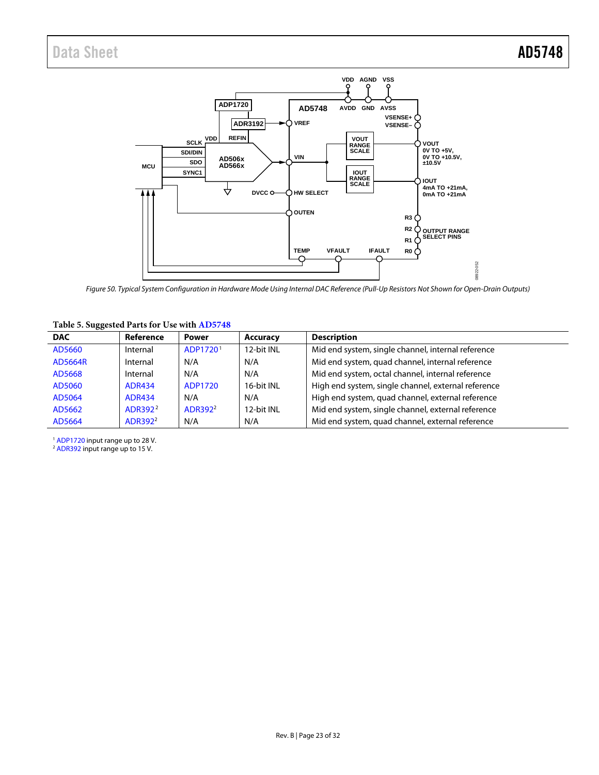

<span id="page-22-0"></span>*Figure 50. Typical System Configuration in Hardware Mode Using Internal DAC Reference (Pull-Up Resistors Not Shown for Open-Drain Outputs)*

#### **Table 5. Suggested Parts for Use with [AD5748](http://www.analog.com/AD5748?doc=AD5748.pdf)**

| <b>DAC</b>     | Reference           | <b>Power</b>         | <b>Accuracy</b> | <b>Description</b>                                  |
|----------------|---------------------|----------------------|-----------------|-----------------------------------------------------|
| AD5660         | Internal            | ADP1720 <sup>1</sup> | 12-bit INL      | Mid end system, single channel, internal reference  |
| <b>AD5664R</b> | Internal            | N/A                  | N/A             | Mid end system, quad channel, internal reference    |
| AD5668         | Internal            | N/A                  | N/A             | Mid end system, octal channel, internal reference   |
| AD5060         | <b>ADR434</b>       | ADP1720              | 16-bit INL      | High end system, single channel, external reference |
| AD5064         | <b>ADR434</b>       | N/A                  | N/A             | High end system, quad channel, external reference   |
| AD5662         | ADR392 <sup>2</sup> | ADR392 <sup>2</sup>  | 12-bit INL      | Mid end system, single channel, external reference  |
| AD5664         | ADR392 <sup>2</sup> | N/A                  | N/A             | Mid end system, quad channel, external reference    |

<sup>1</sup> [ADP1720](http://www.analog.com/ADP1720?doc=AD5748.pdf) input range up to 28 V.

<sup>2</sup> [ADR392](http://www.analog.com/ADR392?doc=AD5748.pdf) input range up to 15 V.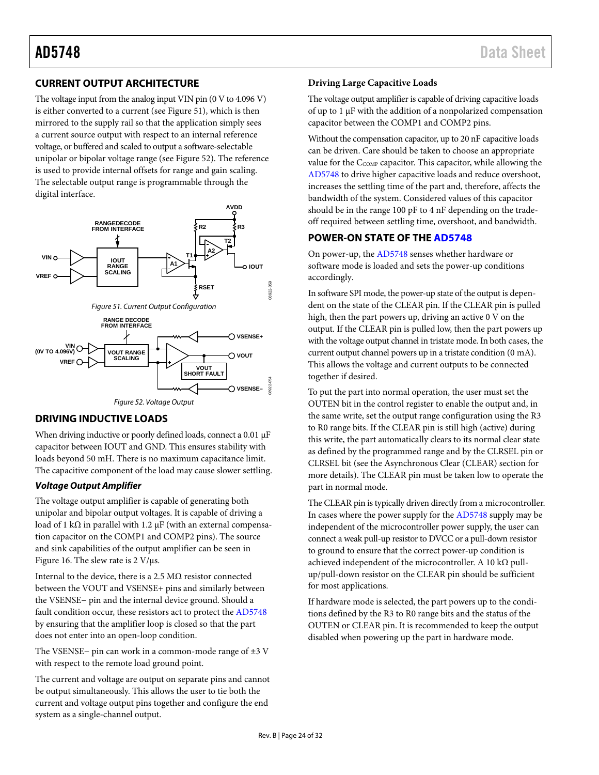### <span id="page-23-0"></span>**CURRENT OUTPUT ARCHITECTURE**

The voltage input from the analog input VIN pin (0 V to 4.096 V) is either converted to a current (se[e Figure 51\)](#page-23-4), which is then mirrored to the supply rail so that the application simply sees a current source output with respect to an internal reference voltage, or buffered and scaled to output a software-selectable unipolar or bipolar voltage range (se[e Figure 52\)](#page-23-5). The reference is used to provide internal offsets for range and gain scaling. The selectable output range is programmable through the digital interface.

<span id="page-23-4"></span>

### <span id="page-23-5"></span><span id="page-23-1"></span>**DRIVING INDUCTIVE LOADS**

When driving inductive or poorly defined loads, connect a 0.01 μF capacitor between IOUT and GND. This ensures stability with loads beyond 50 mH. There is no maximum capacitance limit. The capacitive component of the load may cause slower settling.

#### **Voltage Output Amplifier**

The voltage output amplifier is capable of generating both unipolar and bipolar output voltages. It is capable of driving a load of 1 kΩ in parallel with 1.2  $\mu$ F (with an external compensation capacitor on the COMP1 and COMP2 pins). The source and sink capabilities of the output amplifier can be seen in [Figure 16.](#page-12-1) The slew rate is 2 V/μs.

Internal to the device, there is a 2.5 MΩ resistor connected between the VOUT and VSENSE+ pins and similarly between the VSENSE− pin and the internal device ground. Should a fault condition occur, these resistors act to protect th[e AD5748](http://www.analog.com/AD5748?doc=AD5748.pdf) by ensuring that the amplifier loop is closed so that the part does not enter into an open-loop condition.

The VSENSE− pin can work in a common-mode range of ±3 V with respect to the remote load ground point.

The current and voltage are output on separate pins and cannot be output simultaneously. This allows the user to tie both the current and voltage output pins together and configure the end system as a single-channel output.

#### <span id="page-23-3"></span>**Driving Large Capacitive Loads**

The voltage output amplifier is capable of driving capacitive loads of up to 1 μF with the addition of a nonpolarized compensation capacitor between the COMP1 and COMP2 pins.

Without the compensation capacitor, up to 20 nF capacitive loads can be driven. Care should be taken to choose an appropriate value for the C<sub>COMP</sub> capacitor. This capacitor, while allowing the [AD5748 t](http://www.analog.com/AD5748?doc=AD5748.pdf)o drive higher capacitive loads and reduce overshoot, increases the settling time of the part and, therefore, affects the bandwidth of the system. Considered values of this capacitor should be in the range 100 pF to 4 nF depending on the tradeoff required between settling time, overshoot, and bandwidth.

#### <span id="page-23-2"></span>**POWER-ON STATE OF TH[E AD5748](http://www.analog.com/AD5748?doc=AD5748.pdf)**

On power-up, th[e AD5748](http://www.analog.com/AD5748?doc=AD5748.pdf) senses whether hardware or software mode is loaded and sets the power-up conditions accordingly.

In software SPI mode, the power-up state of the output is dependent on the state of the CLEAR pin. If the CLEAR pin is pulled high, then the part powers up, driving an active 0 V on the output. If the CLEAR pin is pulled low, then the part powers up with the voltage output channel in tristate mode. In both cases, the current output channel powers up in a tristate condition (0 mA). This allows the voltage and current outputs to be connected together if desired.

To put the part into normal operation, the user must set the OUTEN bit in the control register to enable the output and, in the same write, set the output range configuration using the R3 to R0 range bits. If the CLEAR pin is still high (active) during this write, the part automatically clears to its normal clear state as defined by the programmed range and by the CLRSEL pin or CLRSEL bit (see the [Asynchronous Clear \(CLEAR\) s](#page-27-4)ection for more details). The CLEAR pin must be taken low to operate the part in normal mode.

The CLEAR pin is typically driven directly from a microcontroller. In cases where the power supply for th[e AD5748 s](http://www.analog.com/AD5748?doc=AD5748.pdf)upply may be independent of the microcontroller power supply, the user can connect a weak pull-up resistor to DVCC or a pull-down resistor to ground to ensure that the correct power-up condition is achieved independent of the microcontroller. A 10 kΩ pullup/pull-down resistor on the CLEAR pin should be sufficient for most applications.

If hardware mode is selected, the part powers up to the conditions defined by the R3 to R0 range bits and the status of the OUTEN or CLEAR pin. It is recommended to keep the output disabled when powering up the part in hardware mode.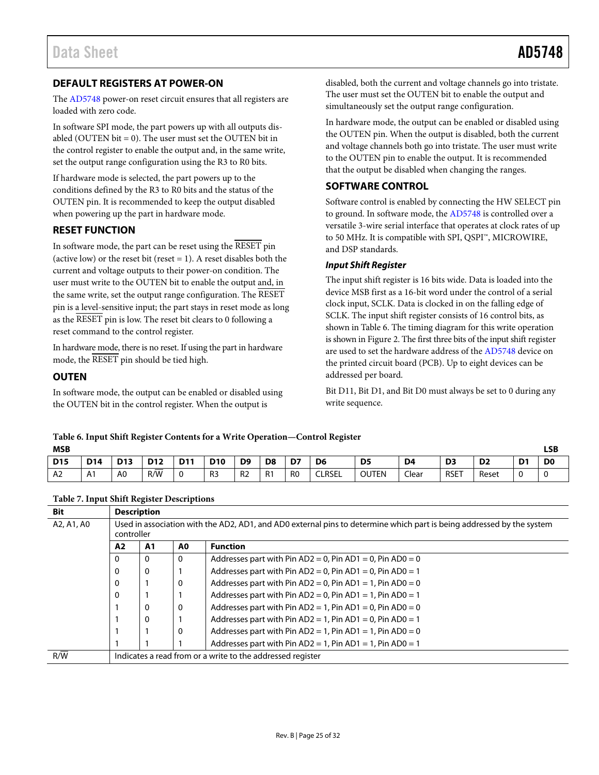#### <span id="page-24-0"></span>**DEFAULT REGISTERS AT POWER-ON**

The [AD5748](http://www.analog.com/AD5748?doc=AD5748.pdf) power-on reset circuit ensures that all registers are loaded with zero code.

In software SPI mode, the part powers up with all outputs disabled (OUTEN bit  $= 0$ ). The user must set the OUTEN bit in the control register to enable the output and, in the same write, set the output range configuration using the R3 to R0 bits.

If hardware mode is selected, the part powers up to the conditions defined by the R3 to R0 bits and the status of the OUTEN pin. It is recommended to keep the output disabled when powering up the part in hardware mode.

#### <span id="page-24-1"></span>**RESET FUNCTION**

In software mode, the part can be reset using the RESET pin (active low) or the reset bit (reset  $= 1$ ). A reset disables both the current and voltage outputs to their power-on condition. The user must write to the OUTEN bit to enable the output and, in the same write, set the output range configuration. The RESET pin is a level-sensitive input; the part stays in reset mode as long as the RESET pin is low. The reset bit clears to 0 following a reset command to the control register.

In hardware mode, there is no reset. If using the part in hardware mode, the RESET pin should be tied high.

#### <span id="page-24-2"></span>**OUTEN**

In software mode, the output can be enabled or disabled using the OUTEN bit in the control register. When the output is

disabled, both the current and voltage channels go into tristate. The user must set the OUTEN bit to enable the output and simultaneously set the output range configuration.

In hardware mode, the output can be enabled or disabled using the OUTEN pin. When the output is disabled, both the current and voltage channels both go into tristate. The user must write to the OUTEN pin to enable the output. It is recommended that the output be disabled when changing the ranges.

#### <span id="page-24-3"></span>**SOFTWARE CONTROL**

Software control is enabled by connecting the HW SELECT pin to ground. In software mode, the [AD5748](http://www.analog.com/AD5748?doc=AD5748.pdf) is controlled over a versatile 3-wire serial interface that operates at clock rates of up to 50 MHz. It is compatible with SPI, QSPI™, MICROWIRE, and DSP standards.

#### *Input Shift Register*

The input shift register is 16 bits wide. Data is loaded into the device MSB first as a 16-bit word under the control of a serial clock input, SCLK. Data is clocked in on the falling edge of SCLK. The input shift register consists of 16 control bits, as shown i[n Table 6.](#page-24-4) The timing diagram for this write operation is shown i[n Figure 2.](#page-7-0) The first three bits of the input shift register are used to set the hardware address of th[e AD5748](http://www.analog.com/AD5748?doc=AD5748.pdf) device on the printed circuit board (PCB). Up to eight devices can be addressed per board.

Bit D11, Bit D1, and Bit D0 must always be set to 0 during any write sequence.

#### <span id="page-24-4"></span>**Table 6. Input Shift Register Contents for a Write Operation—Control Register**

| <b>MSB</b>     |            |                 |            |            |                |                |                |                |                |                |                | LSB            |                |                |                |
|----------------|------------|-----------------|------------|------------|----------------|----------------|----------------|----------------|----------------|----------------|----------------|----------------|----------------|----------------|----------------|
| <b>D15</b>     | <b>D14</b> | D <sub>13</sub> | <b>D12</b> | <b>D11</b> | <b>D10</b>     | D <sub>9</sub> | D <sub>8</sub> | D7             | D <sub>6</sub> | D <sub>5</sub> | D <sub>4</sub> | D <sub>3</sub> | D <sub>2</sub> | D <sub>1</sub> | D <sub>0</sub> |
| A <sub>2</sub> | A1         | A <sub>0</sub>  | _<br>R/W   |            | R <sub>3</sub> | R <sub>2</sub> | R <sub>1</sub> | R <sub>0</sub> | <b>CLRSEL</b>  | <b>OUTEN</b>   | Clear          | <b>RSET</b>    | Reset          |                |                |

<span id="page-24-5"></span>**Table 7. Input Shift Register Descriptions**

| <b>Bit</b>             |                                                                                                                                     | <b>Description</b> |    |                                                                   |  |  |  |  |  |  |  |
|------------------------|-------------------------------------------------------------------------------------------------------------------------------------|--------------------|----|-------------------------------------------------------------------|--|--|--|--|--|--|--|
| A2, A1, A0             | Used in association with the AD2, AD1, and AD0 external pins to determine which part is being addressed by the system<br>controller |                    |    |                                                                   |  |  |  |  |  |  |  |
|                        | A2                                                                                                                                  | A <sub>1</sub>     | A0 | <b>Function</b>                                                   |  |  |  |  |  |  |  |
| $\mathbf{0}$<br>0<br>0 |                                                                                                                                     |                    |    | Addresses part with Pin $AD2 = 0$ , Pin $AD1 = 0$ , Pin $AD0 = 0$ |  |  |  |  |  |  |  |
|                        | 0                                                                                                                                   | 0                  |    | Addresses part with Pin $AD2 = 0$ , Pin $AD1 = 0$ , Pin $AD0 = 1$ |  |  |  |  |  |  |  |
|                        | 0                                                                                                                                   |                    | 0  | Addresses part with Pin $AD2 = 0$ , Pin $AD1 = 1$ , Pin $AD0 = 0$ |  |  |  |  |  |  |  |
|                        | 0                                                                                                                                   |                    |    | Addresses part with Pin AD2 = 0, Pin AD1 = 1, Pin AD0 = 1         |  |  |  |  |  |  |  |
|                        |                                                                                                                                     | 0                  | 0  | Addresses part with Pin AD2 = 1, Pin AD1 = 0, Pin AD0 = 0         |  |  |  |  |  |  |  |
|                        | 0                                                                                                                                   |                    |    | Addresses part with Pin AD2 = 1, Pin AD1 = 0, Pin AD0 = 1         |  |  |  |  |  |  |  |
|                        |                                                                                                                                     |                    | 0  | Addresses part with Pin AD2 = 1, Pin AD1 = 1, Pin AD0 = 0         |  |  |  |  |  |  |  |
|                        |                                                                                                                                     |                    |    | Addresses part with Pin AD2 = 1, Pin AD1 = 1, Pin AD0 = 1         |  |  |  |  |  |  |  |
| R/W                    | Indicates a read from or a write to the addressed register                                                                          |                    |    |                                                                   |  |  |  |  |  |  |  |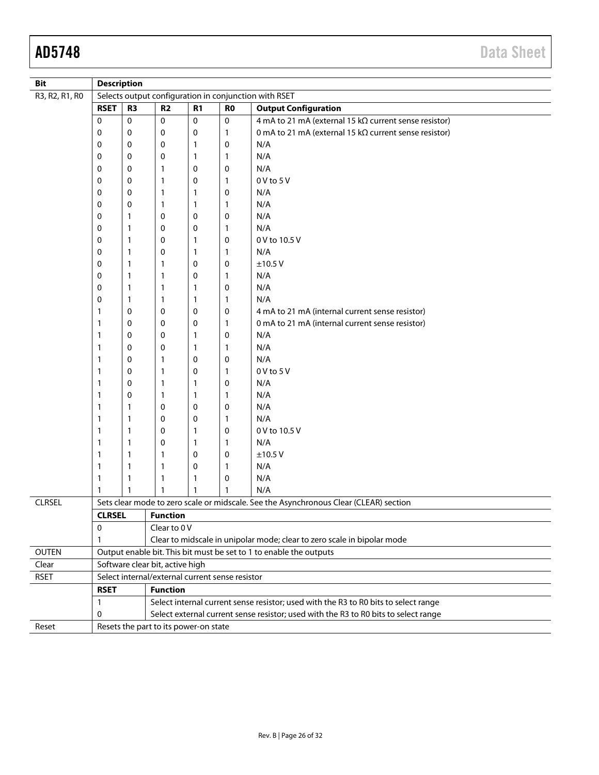| <b>Bit</b>     |               | <b>Description</b>                                                                                                                                           |                                                 |                  |   |                                                                                       |  |  |  |  |  |  |
|----------------|---------------|--------------------------------------------------------------------------------------------------------------------------------------------------------------|-------------------------------------------------|------------------|---|---------------------------------------------------------------------------------------|--|--|--|--|--|--|
| R3, R2, R1, R0 |               | Selects output configuration in conjunction with RSET<br>R <sub>2</sub><br><b>Output Configuration</b><br>R <sub>3</sub><br>R <sub>1</sub><br>R <sub>0</sub> |                                                 |                  |   |                                                                                       |  |  |  |  |  |  |
|                | <b>RSET</b>   |                                                                                                                                                              |                                                 |                  |   |                                                                                       |  |  |  |  |  |  |
|                | $\mathbf 0$   | 0                                                                                                                                                            | 0                                               | $\boldsymbol{0}$ | 0 | 4 mA to 21 mA (external 15 kΩ current sense resistor)                                 |  |  |  |  |  |  |
|                | 0             | 0                                                                                                                                                            | 0                                               | 0                | 1 | 0 mA to 21 mA (external 15 k $\Omega$ current sense resistor)                         |  |  |  |  |  |  |
|                | 0             | 0                                                                                                                                                            | 0                                               | 1                | 0 | N/A                                                                                   |  |  |  |  |  |  |
|                | 0             | 0                                                                                                                                                            | 0                                               | 1                | 1 | N/A                                                                                   |  |  |  |  |  |  |
|                | 0             | 0                                                                                                                                                            | 1                                               | 0                | 0 | N/A                                                                                   |  |  |  |  |  |  |
|                | 0             | 0                                                                                                                                                            | 1                                               | 0                | 1 | $0V$ to $5V$                                                                          |  |  |  |  |  |  |
|                | 0             | 0                                                                                                                                                            | 1                                               | 1                | 0 | N/A                                                                                   |  |  |  |  |  |  |
|                | 0             | 0                                                                                                                                                            | 1                                               | 1                | 1 | N/A                                                                                   |  |  |  |  |  |  |
|                | 0             | 1                                                                                                                                                            | 0                                               | 0                | 0 | N/A                                                                                   |  |  |  |  |  |  |
|                | 0             | 1                                                                                                                                                            | 0                                               | 0                | 1 | N/A                                                                                   |  |  |  |  |  |  |
|                | 0             | 1                                                                                                                                                            | 0                                               | 1                | 0 | 0 V to 10.5 V                                                                         |  |  |  |  |  |  |
|                | 0             | 1                                                                                                                                                            | 0                                               | 1                | 1 | N/A                                                                                   |  |  |  |  |  |  |
|                | 0             | 1                                                                                                                                                            | 1                                               | 0                | 0 | ±10.5V                                                                                |  |  |  |  |  |  |
|                | 0             | 1                                                                                                                                                            | 1                                               | 0                | 1 | N/A                                                                                   |  |  |  |  |  |  |
|                | 0             | 1                                                                                                                                                            | 1                                               | 1                | 0 | N/A                                                                                   |  |  |  |  |  |  |
|                | 0             | 1                                                                                                                                                            | 1                                               | 1                | 1 | N/A                                                                                   |  |  |  |  |  |  |
|                | $\mathbf{1}$  | 0                                                                                                                                                            | 0                                               | 0                | 0 | 4 mA to 21 mA (internal current sense resistor)                                       |  |  |  |  |  |  |
|                | $\mathbf{1}$  | 0                                                                                                                                                            | 0                                               | 0                | 1 | 0 mA to 21 mA (internal current sense resistor)                                       |  |  |  |  |  |  |
|                | $\mathbf{1}$  | 0                                                                                                                                                            | 0                                               | 1                | 0 | N/A                                                                                   |  |  |  |  |  |  |
|                | $\mathbf{1}$  | 0                                                                                                                                                            | 0                                               | 1                | 1 | N/A                                                                                   |  |  |  |  |  |  |
|                | $\mathbf{1}$  | 0                                                                                                                                                            | 1                                               | $\mathbf 0$      | 0 | N/A                                                                                   |  |  |  |  |  |  |
|                | $\mathbf{1}$  | 0                                                                                                                                                            | 1                                               | 0                | 1 | 0 V to 5 V                                                                            |  |  |  |  |  |  |
|                | $\mathbf{1}$  | 0                                                                                                                                                            | 1                                               | 1                | 0 | N/A                                                                                   |  |  |  |  |  |  |
|                | $\mathbf{1}$  | 0                                                                                                                                                            | 1                                               | 1                | 1 | N/A                                                                                   |  |  |  |  |  |  |
|                | $\mathbf{1}$  | 1                                                                                                                                                            | 0                                               | 0                | 0 | N/A                                                                                   |  |  |  |  |  |  |
|                | $\mathbf{1}$  | 1                                                                                                                                                            | 0                                               | 0                | 1 | N/A                                                                                   |  |  |  |  |  |  |
|                | $\mathbf{1}$  | 1                                                                                                                                                            | 0                                               | 1                | 0 | 0 V to 10.5 V                                                                         |  |  |  |  |  |  |
|                | $\mathbf{1}$  | 1                                                                                                                                                            | 0                                               | 1                | 1 | N/A                                                                                   |  |  |  |  |  |  |
|                | $\mathbf{1}$  | 1                                                                                                                                                            | 1                                               | 0                | 0 | ±10.5V                                                                                |  |  |  |  |  |  |
|                | $\mathbf{1}$  | 1                                                                                                                                                            | 1                                               | 0                | 1 | N/A                                                                                   |  |  |  |  |  |  |
|                | $\mathbf{1}$  | 1                                                                                                                                                            | 1                                               | 1                | 0 | N/A                                                                                   |  |  |  |  |  |  |
|                | 1             | 1                                                                                                                                                            | $\mathbf{1}$                                    | 1                | 1 | N/A                                                                                   |  |  |  |  |  |  |
| <b>CLRSEL</b>  |               |                                                                                                                                                              |                                                 |                  |   | Sets clear mode to zero scale or midscale. See the Asynchronous Clear (CLEAR) section |  |  |  |  |  |  |
|                | <b>CLRSEL</b> |                                                                                                                                                              | <b>Function</b>                                 |                  |   |                                                                                       |  |  |  |  |  |  |
|                | $\mathbf 0$   |                                                                                                                                                              | Clear to 0 V                                    |                  |   |                                                                                       |  |  |  |  |  |  |
|                | $\mathbf{1}$  |                                                                                                                                                              |                                                 |                  |   | Clear to midscale in unipolar mode; clear to zero scale in bipolar mode               |  |  |  |  |  |  |
| <b>OUTEN</b>   |               |                                                                                                                                                              |                                                 |                  |   | Output enable bit. This bit must be set to 1 to enable the outputs                    |  |  |  |  |  |  |
| Clear          |               |                                                                                                                                                              | Software clear bit, active high                 |                  |   |                                                                                       |  |  |  |  |  |  |
| <b>RSET</b>    |               |                                                                                                                                                              | Select internal/external current sense resistor |                  |   |                                                                                       |  |  |  |  |  |  |
|                | <b>RSET</b>   |                                                                                                                                                              | <b>Function</b>                                 |                  |   |                                                                                       |  |  |  |  |  |  |
|                | $\mathbf{1}$  |                                                                                                                                                              |                                                 |                  |   | Select internal current sense resistor; used with the R3 to R0 bits to select range   |  |  |  |  |  |  |
|                | 0             |                                                                                                                                                              |                                                 |                  |   | Select external current sense resistor; used with the R3 to R0 bits to select range   |  |  |  |  |  |  |
| Reset          |               |                                                                                                                                                              | Resets the part to its power-on state           |                  |   |                                                                                       |  |  |  |  |  |  |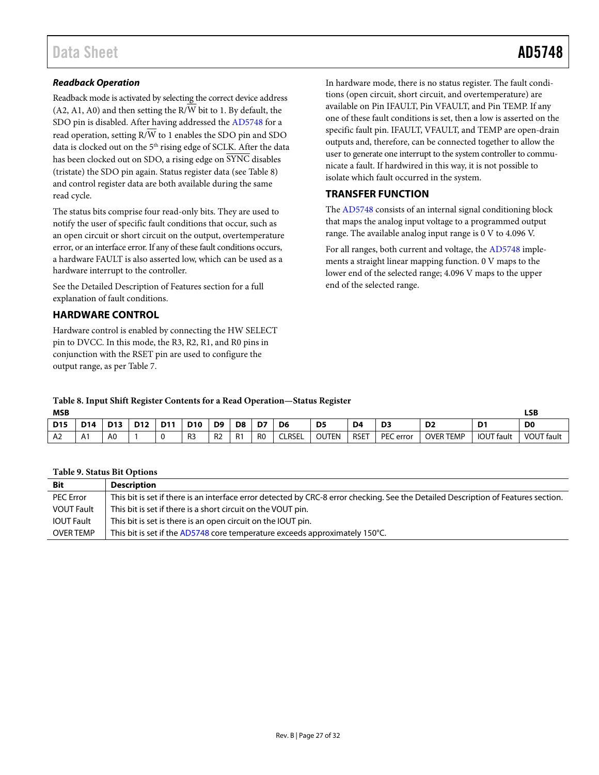#### **Readback Operation**

Readback mode is activated by selecting the correct device address  $(A2, A1, A0)$  and then setting the R/W bit to 1. By default, the SDO pin is disabled. After having addressed th[e AD5748](http://www.analog.com/AD5748?doc=AD5748.pdf) for a read operation, setting  $R/\overline{W}$  to 1 enables the SDO pin and SDO data is clocked out on the 5<sup>th</sup> rising edge of SCLK. After the data has been clocked out on SDO, a rising edge on SYNC disables (tristate) the SDO pin again. Status register data (see [Table 8\)](#page-26-2) and control register data are both available during the same read cycle.

The status bits comprise four read-only bits. They are used to notify the user of specific fault conditions that occur, such as an open circuit or short circuit on the output, overtemperature error, or an interface error. If any of these fault conditions occurs, a hardware FAULT is also asserted low, which can be used as a hardware interrupt to the controller.

See the [Detailed Description of Features](#page-27-0) section for a full explanation of fault conditions.

#### <span id="page-26-0"></span>**HARDWARE CONTROL**

Hardware control is enabled by connecting the HW SELECT pin to DVCC. In this mode, the R3, R2, R1, and R0 pins in conjunction with the RSET pin are used to configure the output range, as pe[r Table 7.](#page-24-5) 

In hardware mode, there is no status register. The fault conditions (open circuit, short circuit, and overtemperature) are available on Pin IFAULT, Pin VFAULT, and Pin TEMP. If any one of these fault conditions is set, then a low is asserted on the specific fault pin. IFAULT, VFAULT, and TEMP are open-drain outputs and, therefore, can be connected together to allow the user to generate one interrupt to the system controller to communicate a fault. If hardwired in this way, it is not possible to isolate which fault occurred in the system.

#### <span id="page-26-1"></span>**TRANSFER FUNCTION**

The [AD5748 c](http://www.analog.com/AD5748?doc=AD5748.pdf)onsists of an internal signal conditioning block that maps the analog input voltage to a programmed output range. The available analog input range is 0 V to 4.096 V.

For all ranges, both current and voltage, the [AD5748](http://www.analog.com/AD5748?doc=AD5748.pdf) implements a straight linear mapping function. 0 V maps to the lower end of the selected range; 4.096 V maps to the upper end of the selected range.

## <span id="page-26-2"></span>**Table 8. Input Shift Register Contents for a Read Operation—Status Register**

| <b>MSB</b> |             |                |                 |             |                |                |    |                |                |                |      |           | <b>LSB</b>       |                   |                   |
|------------|-------------|----------------|-----------------|-------------|----------------|----------------|----|----------------|----------------|----------------|------|-----------|------------------|-------------------|-------------------|
| <b>D15</b> | <b>D14</b>  | <b>D13</b>     | D <sub>12</sub> | <b>D11</b>  | <b>D10</b>     | D <sub>9</sub> | D8 | D7             | D <sub>6</sub> | D <sub>5</sub> | D4   | D3        | D <sub>2</sub>   | D <sub>1</sub>    | D <sub>0</sub>    |
| A2         | Λ<br>$\sim$ | A <sub>0</sub> |                 | $\sim$<br>J | R <sub>3</sub> | R <sub>2</sub> | R1 | R <sub>0</sub> | <b>CLRSEL</b>  | <b>OUTEN</b>   | RSET | PEC error | <b>OVER TEMP</b> | <b>IOUT</b> fault | <b>VOUT fault</b> |

#### **Table 9. Status Bit Options**

| <b>Bit</b>        | <b>Description</b>                                                                                                                 |
|-------------------|------------------------------------------------------------------------------------------------------------------------------------|
| <b>PEC Error</b>  | This bit is set if there is an interface error detected by CRC-8 error checking. See the Detailed Description of Features section. |
| <b>VOUT Fault</b> | This bit is set if there is a short circuit on the VOUT pin.                                                                       |
| <b>IOUT Fault</b> | This bit is set is there is an open circuit on the IOUT pin.                                                                       |
| <b>OVER TEMP</b>  | This bit is set if the AD5748 core temperature exceeds approximately 150°C.                                                        |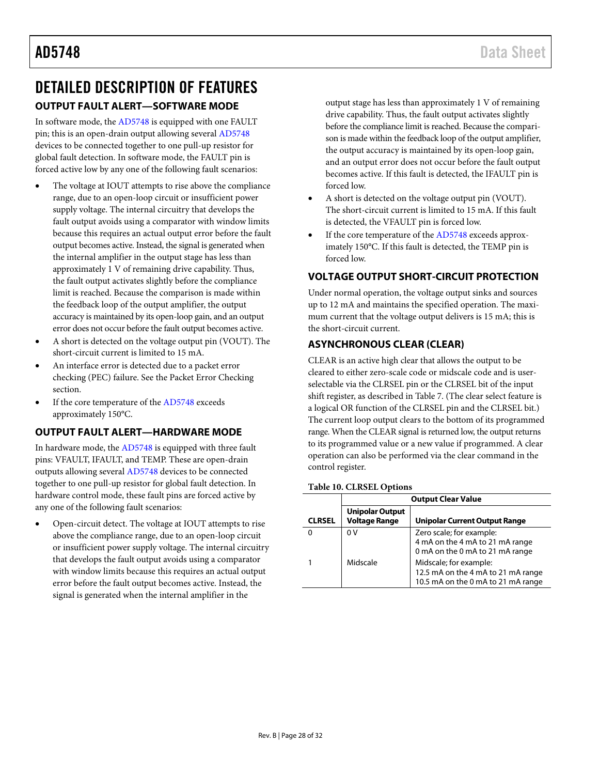## <span id="page-27-0"></span>DETAILED DESCRIPTION OF FEATURES **OUTPUT FAULT ALERT—SOFTWARE MODE**

<span id="page-27-1"></span>In software mode, the [AD5748](http://www.analog.com/AD5748?doc=AD5748.pdf) is equipped with one FAULT pin; this is an open-drain output allowing several [AD5748](http://www.analog.com/AD5748?doc=AD5748.pdf) devices to be connected together to one pull-up resistor for global fault detection. In software mode, the FAULT pin is forced active low by any one of the following fault scenarios:

- The voltage at IOUT attempts to rise above the compliance range, due to an open-loop circuit or insufficient power supply voltage. The internal circuitry that develops the fault output avoids using a comparator with window limits because this requires an actual output error before the fault output becomes active. Instead, the signal is generated when the internal amplifier in the output stage has less than approximately 1 V of remaining drive capability. Thus, the fault output activates slightly before the compliance limit is reached. Because the comparison is made within the feedback loop of the output amplifier, the output accuracy is maintained by its open-loop gain, and an output error does not occur before the fault output becomes active.
- A short is detected on the voltage output pin (VOUT). The short-circuit current is limited to 15 mA.
- An interface error is detected due to a packet error checking (PEC) failure. See th[e Packet Error Checking](#page-28-1) section.
- If the core temperature of the [AD5748](http://www.analog.com/AD5748?doc=AD5748.pdf) exceeds approximately 150°C.

### <span id="page-27-2"></span>**OUTPUT FAULT ALERT—HARDWARE MODE**

In hardware mode, th[e AD5748](http://www.analog.com/AD5748?doc=AD5748.pdf) is equipped with three fault pins: VFAULT, IFAULT, and TEMP. These are open-drain outputs allowing severa[l AD5748](http://www.analog.com/AD5748?doc=AD5748.pdf) devices to be connected together to one pull-up resistor for global fault detection. In hardware control mode, these fault pins are forced active by any one of the following fault scenarios:

• Open-circuit detect. The voltage at IOUT attempts to rise above the compliance range, due to an open-loop circuit or insufficient power supply voltage. The internal circuitry that develops the fault output avoids using a comparator with window limits because this requires an actual output error before the fault output becomes active. Instead, the signal is generated when the internal amplifier in the

output stage has less than approximately 1 V of remaining drive capability. Thus, the fault output activates slightly before the compliance limit is reached. Because the comparison is made within the feedback loop of the output amplifier, the output accuracy is maintained by its open-loop gain, and an output error does not occur before the fault output becomes active. If this fault is detected, the IFAULT pin is forced low.

- A short is detected on the voltage output pin (VOUT). The short-circuit current is limited to 15 mA. If this fault is detected, the VFAULT pin is forced low.
- If the core temperature of the [AD5748](http://www.analog.com/AD5748?doc=AD5748.pdf) exceeds approximately 150°C. If this fault is detected, the TEMP pin is forced low.

### <span id="page-27-3"></span>**VOLTAGE OUTPUT SHORT-CIRCUIT PROTECTION**

Under normal operation, the voltage output sinks and sources up to 12 mA and maintains the specified operation. The maximum current that the voltage output delivers is 15 mA; this is the short-circuit current.

### <span id="page-27-4"></span>**ASYNCHRONOUS CLEAR (CLEAR)**

CLEAR is an active high clear that allows the output to be cleared to either zero-scale code or midscale code and is userselectable via the CLRSEL pin or the CLRSEL bit of the input shift register, as described i[n Table 7.](#page-24-5) (The clear select feature is a logical OR function of the CLRSEL pin and the CLRSEL bit.) The current loop output clears to the bottom of its programmed range. When the CLEAR signal is returned low, the output returns to its programmed value or a new value if programmed. A clear operation can also be performed via the clear command in the control register.

#### **Table 10. CLRSEL Options**

|               | <b>Output Clear Value</b>                      |                                                                                                    |  |  |  |  |  |  |  |  |
|---------------|------------------------------------------------|----------------------------------------------------------------------------------------------------|--|--|--|--|--|--|--|--|
| <b>CLRSEL</b> | <b>Unipolar Output</b><br><b>Voltage Range</b> | <b>Unipolar Current Output Range</b>                                                               |  |  |  |  |  |  |  |  |
|               | 0 V                                            | Zero scale; for example:<br>4 mA on the 4 mA to 21 mA range<br>0 mA on the 0 mA to 21 mA range     |  |  |  |  |  |  |  |  |
|               | Midscale                                       | Midscale; for example:<br>12.5 mA on the 4 mA to 21 mA range<br>10.5 mA on the 0 mA to 21 mA range |  |  |  |  |  |  |  |  |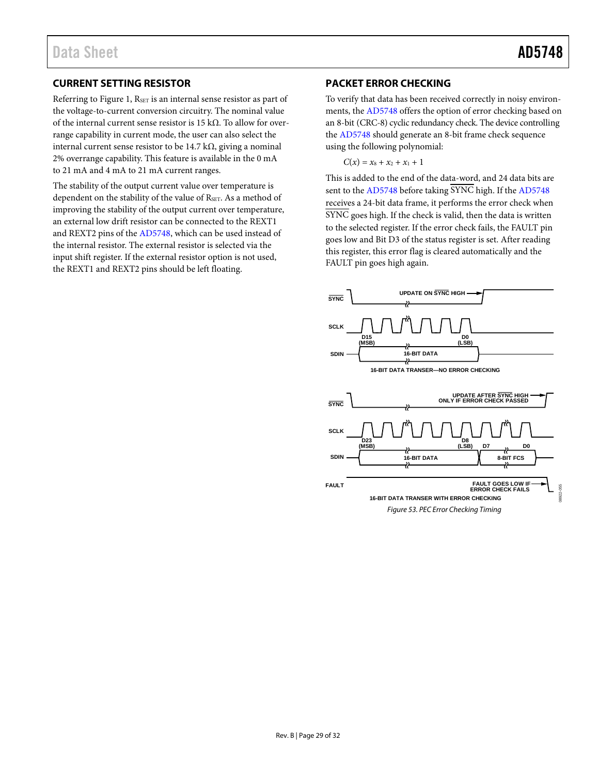### <span id="page-28-0"></span>**CURRENT SETTING RESISTOR**

Referring to [Figure 1,](#page-2-1) RSET is an internal sense resistor as part of the voltage-to-current conversion circuitry. The nominal value of the internal current sense resistor is 15 k $\Omega$ . To allow for overrange capability in current mode, the user can also select the internal current sense resistor to be 14.7 kΩ, giving a nominal 2% overrange capability. This feature is available in the 0 mA to 21 mA and 4 mA to 21 mA current ranges.

The stability of the output current value over temperature is dependent on the stability of the value of RSET. As a method of improving the stability of the output current over temperature, an external low drift resistor can be connected to the REXT1 and REXT2 pins of th[e AD5748,](http://www.analog.com/AD5748?doc=AD5748.pdf) which can be used instead of the internal resistor. The external resistor is selected via the input shift register. If the external resistor option is not used, the REXT1 and REXT2 pins should be left floating.

#### <span id="page-28-1"></span>**PACKET ERROR CHECKING**

To verify that data has been received correctly in noisy environments, th[e AD5748 o](http://www.analog.com/AD5748?doc=AD5748.pdf)ffers the option of error checking based on an 8-bit (CRC-8) cyclic redundancy check. The device controlling the [AD5748](http://www.analog.com/AD5748?doc=AD5748.pdf) should generate an 8-bit frame check sequence using the following polynomial:

 $C(x) = x_8 + x_2 + x_1 + 1$ 

This is added to the end of the data-word, and 24 data bits are sent to th[e AD5748 b](http://www.analog.com/AD5748?doc=AD5748.pdf)efore taking SYNC high. If th[e AD5748](http://www.analog.com/AD5748?doc=AD5748.pdf) receives a 24-bit data frame, it performs the error check when  $\overline{\text{SYNC}}$  goes high. If the check is valid, then the data is written to the selected register. If the error check fails, the FAULT pin goes low and Bit D3 of the status register is set. After reading this register, this error flag is cleared automatically and the FAULT pin goes high again.

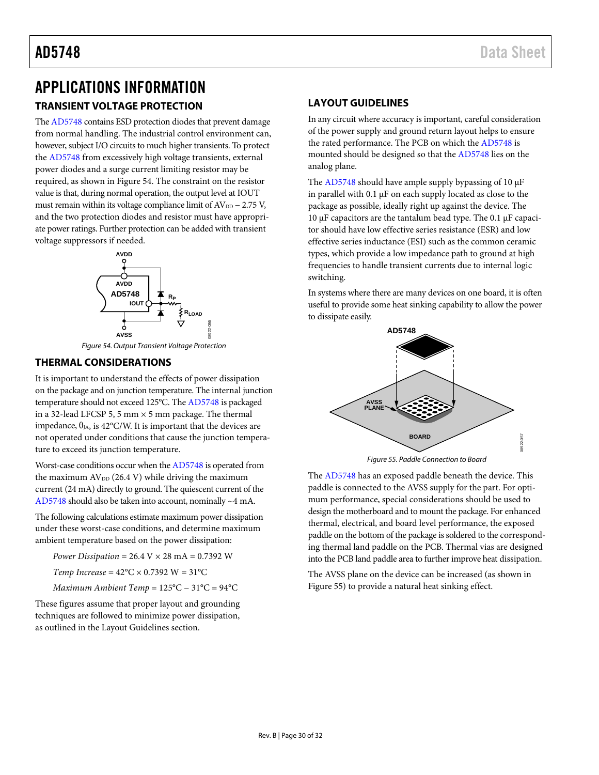# <span id="page-29-0"></span>APPLICATIONS INFORMATION

### <span id="page-29-1"></span>**TRANSIENT VOLTAGE PROTECTION**

Th[e AD5748 c](http://www.analog.com/AD5748?doc=AD5748.pdf)ontains ESD protection diodes that prevent damage from normal handling. The industrial control environment can, however, subject I/O circuits to much higher transients. To protect the [AD5748](http://www.analog.com/AD5748?doc=AD5748.pdf) from excessively high voltage transients, external power diodes and a surge current limiting resistor may be required, as shown i[n Figure 54.](#page-29-4) The constraint on the resistor value is that, during normal operation, the output level at IOUT must remain within its voltage compliance limit of  $AV_{DD} - 2.75$  V, and the two protection diodes and resistor must have appropriate power ratings. Further protection can be added with transient voltage suppressors if needed.



Figure 54. Output Transient Voltage Protection

#### <span id="page-29-4"></span><span id="page-29-2"></span>**THERMAL CONSIDERATIONS**

It is important to understand the effects of power dissipation on the package and on junction temperature. The internal junction temperature should not exceed 125°C. Th[e AD5748](http://www.analog.com/AD5748?doc=AD5748.pdf) is packaged in a 32-lead LFCSP 5, 5 mm  $\times$  5 mm package. The thermal impedance,  $\theta_{JA}$ , is 42°C/W. It is important that the devices are not operated under conditions that cause the junction temperature to exceed its junction temperature.

Worst-case conditions occur when th[e AD5748 i](http://www.analog.com/AD5748?doc=AD5748.pdf)s operated from the maximum  $AV_{DD}$  (26.4 V) while driving the maximum current (24 mA) directly to ground. The quiescent current of the [AD5748 s](http://www.analog.com/AD5748?doc=AD5748.pdf)hould also be taken into account, nominally ~4 mA.

The following calculations estimate maximum power dissipation under these worst-case conditions, and determine maximum ambient temperature based on the power dissipation:

*Power Dissipation* = 26.4 V × 28 mA = 0.7392 W

*Temp Increase* =  $42^{\circ}$ C  $\times$  0.7392 W =  $31^{\circ}$ C

*Maximum Ambient Temp* = 125°C − 31°C = 94°C

These figures assume that proper layout and grounding techniques are followed to minimize power dissipation, as outlined in the [Layout Guidelines](#page-29-3) section.

### <span id="page-29-3"></span>**LAYOUT GUIDELINES**

In any circuit where accuracy is important, careful consideration of the power supply and ground return layout helps to ensure the rated performance. The PCB on which the [AD5748 i](http://www.analog.com/AD5748?doc=AD5748.pdf)s mounted should be designed so that th[e AD5748](http://www.analog.com/AD5748?doc=AD5748.pdf) lies on the analog plane.

The [AD5748](http://www.analog.com/AD5748?doc=AD5748.pdf) should have ample supply bypassing of 10 μF in parallel with 0.1 μF on each supply located as close to the package as possible, ideally right up against the device. The 10 μF capacitors are the tantalum bead type. The 0.1 μF capacitor should have low effective series resistance (ESR) and low effective series inductance (ESI) such as the common ceramic types, which provide a low impedance path to ground at high frequencies to handle transient currents due to internal logic switching.

In systems where there are many devices on one board, it is often useful to provide some heat sinking capability to allow the power to dissipate easily.



Figure 55. Paddle Connection to Board

<span id="page-29-5"></span>The [AD5748 h](http://www.analog.com/AD5748?doc=AD5748.pdf)as an exposed paddle beneath the device. This paddle is connected to the AVSS supply for the part. For optimum performance, special considerations should be used to design the motherboard and to mount the package. For enhanced thermal, electrical, and board level performance, the exposed paddle on the bottom of the package is soldered to the corresponding thermal land paddle on the PCB. Thermal vias are designed into the PCB land paddle area to further improve heat dissipation.

The AVSS plane on the device can be increased (as shown in [Figure 55\)](#page-29-5) to provide a natural heat sinking effect.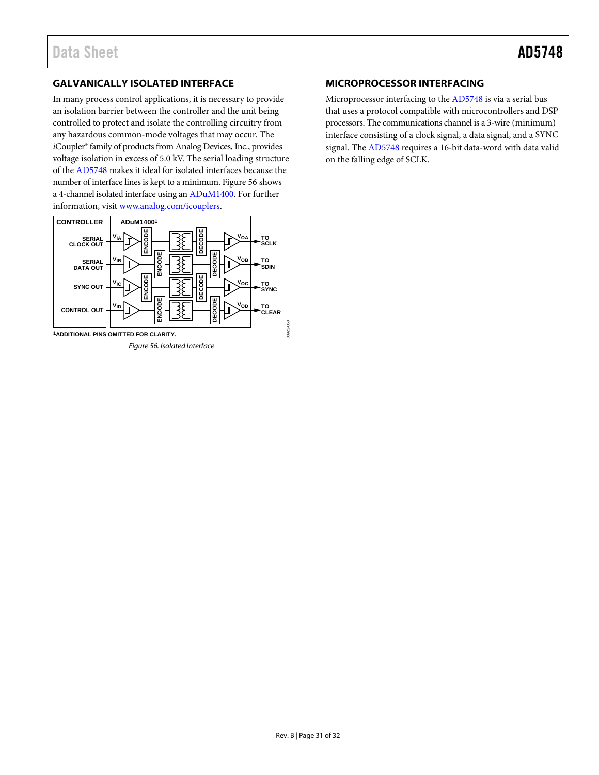### <span id="page-30-0"></span>**GALVANICALLY ISOLATED INTERFACE**

In many process control applications, it is necessary to provide an isolation barrier between the controller and the unit being controlled to protect and isolate the controlling circuitry from any hazardous common-mode voltages that may occur. The *i*Coupler® family of products from Analog Devices, Inc., provides voltage isolation in excess of 5.0 kV. The serial loading structure of the [AD5748 m](http://www.analog.com/AD5748?doc=AD5748.pdf)akes it ideal for isolated interfaces because the number of interface lines is kept to a minimum[. Figure 56 s](#page-30-2)hows a 4-channel isolated interface using a[n ADuM1400.](http://www.analog.com/ADUM1400?doc=AD5748.pdf) For further information, visit [www.analog.com/icouplers.](http://www.analog.com/icouplers)

<span id="page-30-2"></span>

#### <span id="page-30-1"></span>**MICROPROCESSOR INTERFACING**

Microprocessor interfacing to the [AD5748 i](http://www.analog.com/AD5748?doc=AD5748.pdf)s via a serial bus that uses a protocol compatible with microcontrollers and DSP processors. The communications channel is a 3-wire (minimum) interface consisting of a clock signal, a data signal, and a SYNC signal. Th[e AD5748 r](http://www.analog.com/AD5748?doc=AD5748.pdf)equires a 16-bit data-word with data valid on the falling edge of SCLK.